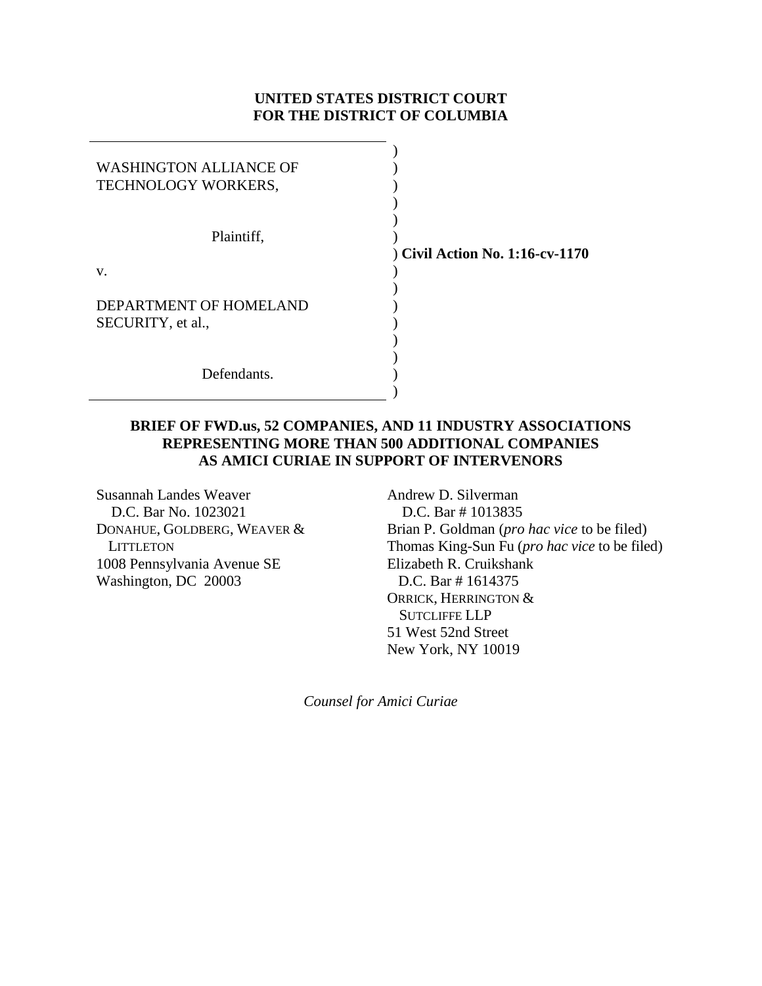### **UNITED STATES DISTRICT COURT FOR THE DISTRICT OF COLUMBIA**

| <b>WASHINGTON ALLIANCE OF</b><br>TECHNOLOGY WORKERS, |               |
|------------------------------------------------------|---------------|
| Plaintiff,                                           | ) Civil Actio |
| V.                                                   |               |
| DEPARTMENT OF HOMELAND<br>SECURITY, et al.,          |               |
| Defendants.                                          |               |

## ) **Civil Action No. 1:16-cv-1170**

### **BRIEF OF FWD.us, 52 COMPANIES, AND 11 INDUSTRY ASSOCIATIONS REPRESENTING MORE THAN 500 ADDITIONAL COMPANIES AS AMICI CURIAE IN SUPPORT OF INTERVENORS**

Susannah Landes Weaver D.C. Bar No. 1023021 DONAHUE, GOLDBERG, WEAVER & **LITTLETON** 1008 Pennsylvania Avenue SE Washington, DC 20003

Andrew D. Silverman D.C. Bar # 1013835 Brian P. Goldman (*pro hac vice* to be filed) Thomas King-Sun Fu (*pro hac vice* to be filed) Elizabeth R. Cruikshank D.C. Bar # 1614375 ORRICK, HERRINGTON & SUTCLIFFE LLP 51 West 52nd Street New York, NY 10019

*Counsel for Amici Curiae*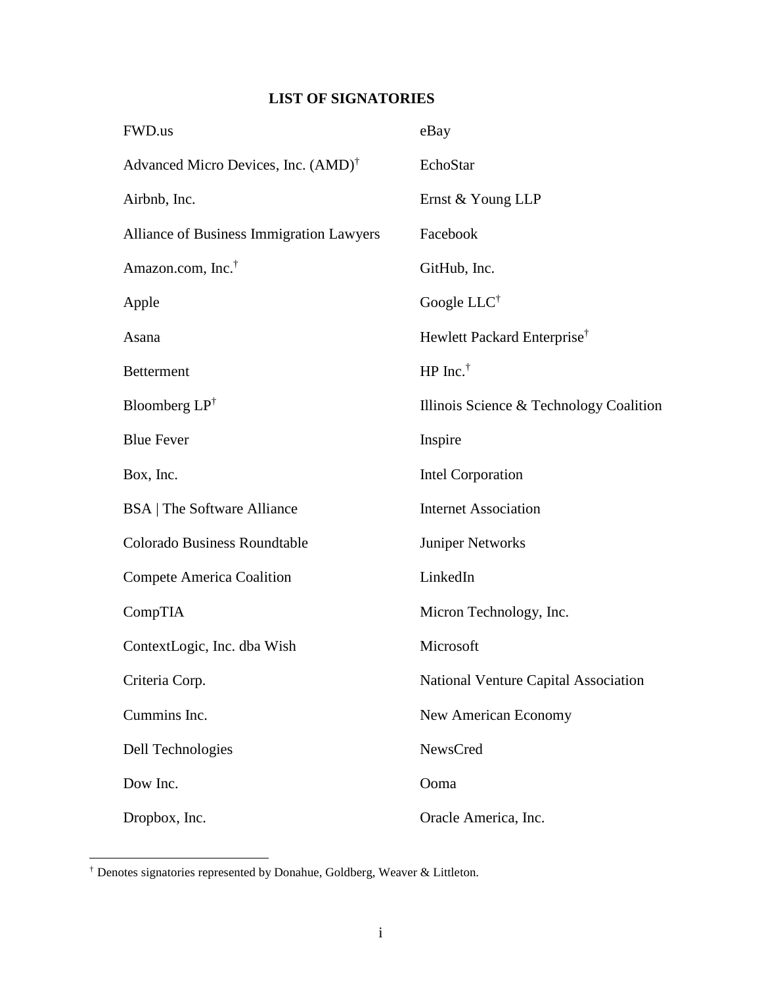# **LIST OF SIGNATORIES**

| FWD.us                                          | eBay                                    |
|-------------------------------------------------|-----------------------------------------|
| Advanced Micro Devices, Inc. (AMD) <sup>†</sup> | EchoStar                                |
| Airbnb, Inc.                                    | Ernst & Young LLP                       |
| Alliance of Business Immigration Lawyers        | Facebook                                |
| Amazon.com, Inc. <sup>†</sup>                   | GitHub, Inc.                            |
| Apple                                           | Google LLC <sup>†</sup>                 |
| Asana                                           | Hewlett Packard Enterprise <sup>†</sup> |
| <b>Betterment</b>                               | HP Inc. <sup><math>\dagger</math></sup> |
| Bloomberg $LP^{\dagger}$                        | Illinois Science & Technology Coalition |
| <b>Blue Fever</b>                               | Inspire                                 |
| Box, Inc.                                       | <b>Intel Corporation</b>                |
| <b>BSA</b>   The Software Alliance              | <b>Internet Association</b>             |
| <b>Colorado Business Roundtable</b>             | Juniper Networks                        |
| <b>Compete America Coalition</b>                | LinkedIn                                |
| CompTIA                                         | Micron Technology, Inc.                 |
| ContextLogic, Inc. dba Wish                     | Microsoft                               |
| Criteria Corp.                                  | National Venture Capital Association    |
| Cummins Inc.                                    | New American Economy                    |
| Dell Technologies                               | NewsCred                                |
| Dow Inc.                                        | Ooma                                    |
| Dropbox, Inc.                                   | Oracle America, Inc.                    |

<sup>†</sup> Denotes signatories represented by Donahue, Goldberg, Weaver & Littleton.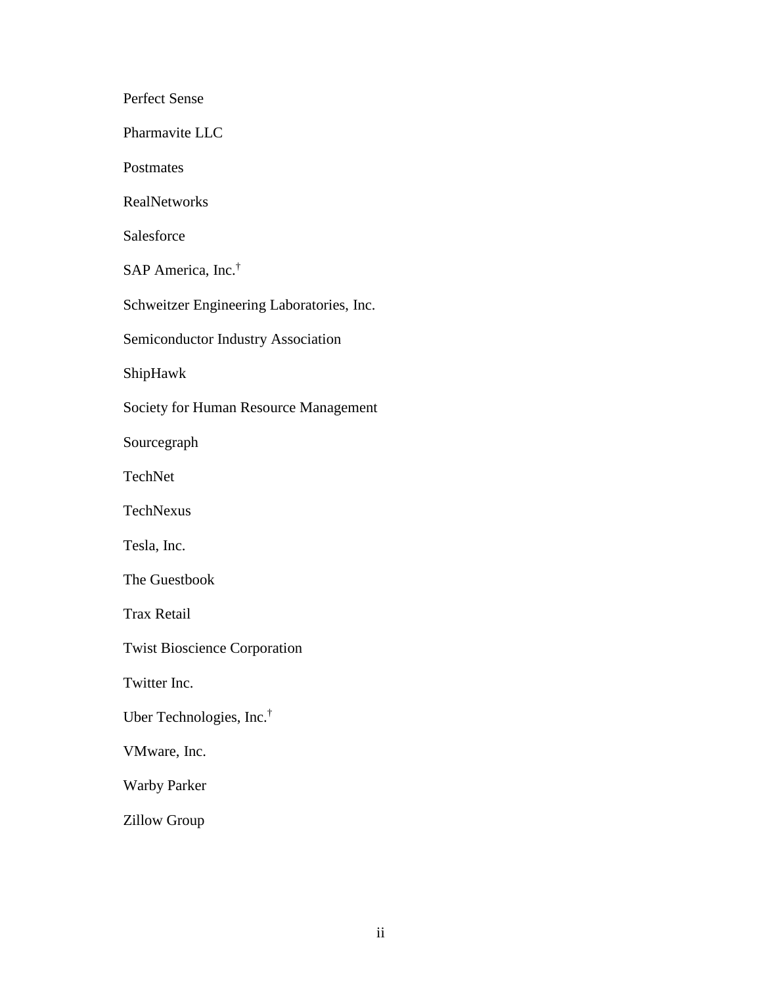Perfect Sense Pharmavite LLC **Postmates** RealNetworks Salesforce SAP America, Inc.† Schweitzer Engineering Laboratories, Inc. Semiconductor Industry Association ShipHawk Society for Human Resource Management Sourcegraph TechNet TechNexus Tesla, Inc. The Guestbook Trax Retail Twist Bioscience Corporation Twitter Inc. Uber Technologies, Inc.† VMware, Inc. Warby Parker Zillow Group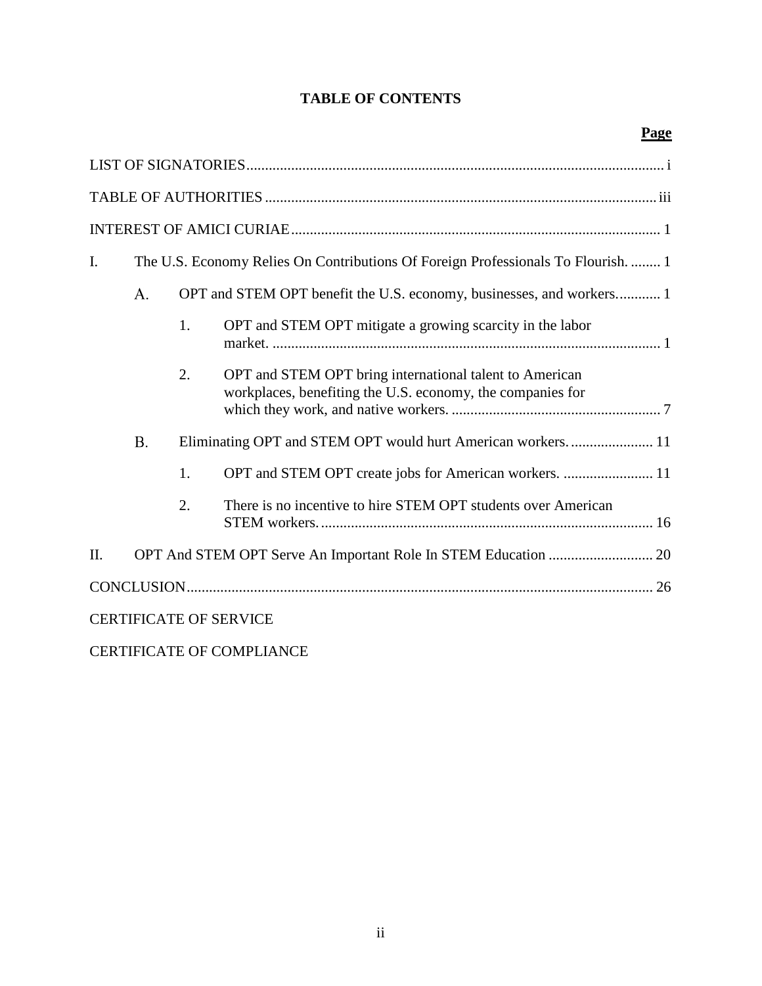## **TABLE OF CONTENTS**

| I. |           |    | The U.S. Economy Relies On Contributions Of Foreign Professionals To Flourish.  1                                     |  |
|----|-----------|----|-----------------------------------------------------------------------------------------------------------------------|--|
|    | A.        |    | OPT and STEM OPT benefit the U.S. economy, businesses, and workers 1                                                  |  |
|    |           | 1. | OPT and STEM OPT mitigate a growing scarcity in the labor                                                             |  |
|    |           | 2. | OPT and STEM OPT bring international talent to American<br>workplaces, benefiting the U.S. economy, the companies for |  |
|    | <b>B.</b> |    | Eliminating OPT and STEM OPT would hurt American workers 11                                                           |  |
|    |           | 1. | OPT and STEM OPT create jobs for American workers.  11                                                                |  |
|    |           | 2. | There is no incentive to hire STEM OPT students over American                                                         |  |
| Π. |           |    |                                                                                                                       |  |
|    |           |    |                                                                                                                       |  |
|    |           |    | <b>CERTIFICATE OF SERVICE</b>                                                                                         |  |

CERTIFICATE OF COMPLIANCE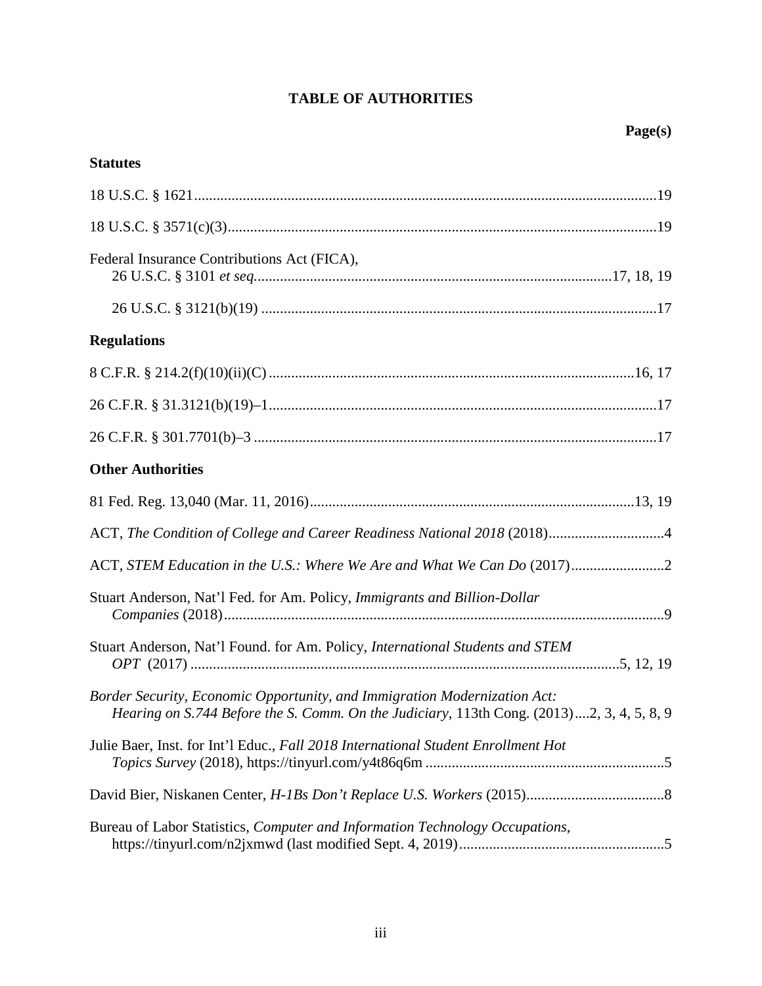# **TABLE OF AUTHORITIES**

| <b>Statutes</b>                                                                                                                                                        |
|------------------------------------------------------------------------------------------------------------------------------------------------------------------------|
|                                                                                                                                                                        |
|                                                                                                                                                                        |
| Federal Insurance Contributions Act (FICA),                                                                                                                            |
|                                                                                                                                                                        |
| <b>Regulations</b>                                                                                                                                                     |
|                                                                                                                                                                        |
|                                                                                                                                                                        |
|                                                                                                                                                                        |
| <b>Other Authorities</b>                                                                                                                                               |
|                                                                                                                                                                        |
| ACT, The Condition of College and Career Readiness National 2018 (2018)4                                                                                               |
|                                                                                                                                                                        |
| Stuart Anderson, Nat'l Fed. for Am. Policy, Immigrants and Billion-Dollar                                                                                              |
| Stuart Anderson, Nat'l Found. for Am. Policy, International Students and STEM                                                                                          |
| Border Security, Economic Opportunity, and Immigration Modernization Act:<br>Hearing on S.744 Before the S. Comm. On the Judiciary, 113th Cong. (2013)2, 3, 4, 5, 8, 9 |
| Julie Baer, Inst. for Int'l Educ., Fall 2018 International Student Enrollment Hot                                                                                      |
|                                                                                                                                                                        |
| Bureau of Labor Statistics, Computer and Information Technology Occupations,                                                                                           |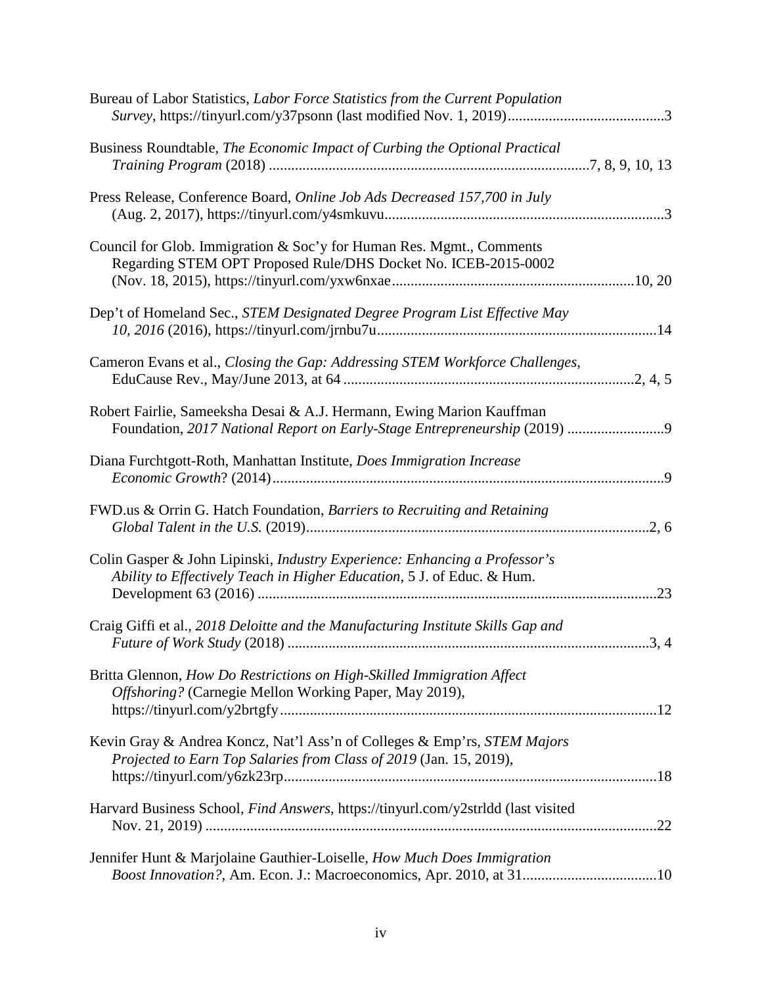| Bureau of Labor Statistics, Labor Force Statistics from the Current Population                                                                       |
|------------------------------------------------------------------------------------------------------------------------------------------------------|
| Business Roundtable, The Economic Impact of Curbing the Optional Practical                                                                           |
| Press Release, Conference Board, Online Job Ads Decreased 157,700 in July                                                                            |
| Council for Glob. Immigration & Soc'y for Human Res. Mgmt., Comments<br>Regarding STEM OPT Proposed Rule/DHS Docket No. ICEB-2015-0002               |
| Dep't of Homeland Sec., STEM Designated Degree Program List Effective May                                                                            |
| Cameron Evans et al., Closing the Gap: Addressing STEM Workforce Challenges,                                                                         |
| Robert Fairlie, Sameeksha Desai & A.J. Hermann, Ewing Marion Kauffman                                                                                |
| Diana Furchtgott-Roth, Manhattan Institute, Does Immigration Increase                                                                                |
| FWD.us & Orrin G. Hatch Foundation, Barriers to Recruiting and Retaining                                                                             |
| Colin Gasper & John Lipinski, Industry Experience: Enhancing a Professor's<br>Ability to Effectively Teach in Higher Education, 5 J. of Educ. & Hum. |
| Craig Giffi et al., 2018 Deloitte and the Manufacturing Institute Skills Gap and                                                                     |
| Britta Glennon, How Do Restrictions on High-Skilled Immigration Affect<br>Offshoring? (Carnegie Mellon Working Paper, May 2019),                     |
| Kevin Gray & Andrea Koncz, Nat'l Ass'n of Colleges & Emp'rs, STEM Majors<br>Projected to Earn Top Salaries from Class of 2019 (Jan. 15, 2019),       |
| Harvard Business School, Find Answers, https://tinyurl.com/y2strldd (last visited                                                                    |
| Jennifer Hunt & Marjolaine Gauthier-Loiselle, How Much Does Immigration<br>Boost Innovation?, Am. Econ. J.: Macroeconomics, Apr. 2010, at 3110       |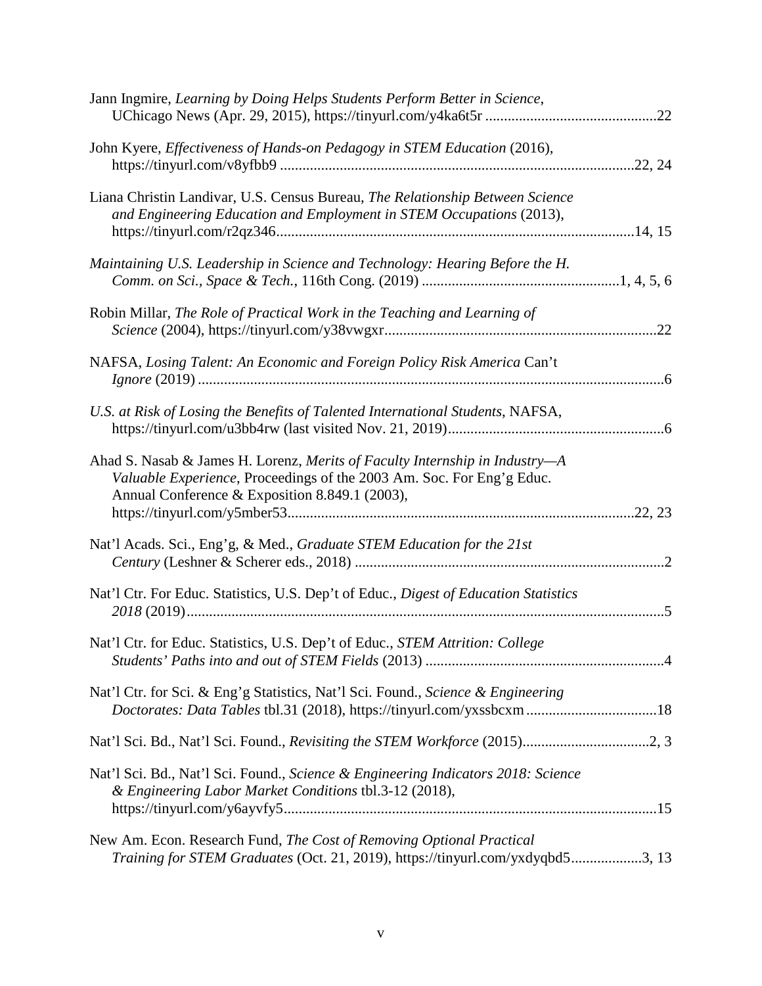| Jann Ingmire, Learning by Doing Helps Students Perform Better in Science,                                                                                                                              |  |
|--------------------------------------------------------------------------------------------------------------------------------------------------------------------------------------------------------|--|
| John Kyere, Effectiveness of Hands-on Pedagogy in STEM Education (2016),                                                                                                                               |  |
| Liana Christin Landivar, U.S. Census Bureau, The Relationship Between Science<br>and Engineering Education and Employment in STEM Occupations (2013),                                                  |  |
| Maintaining U.S. Leadership in Science and Technology: Hearing Before the H.                                                                                                                           |  |
| Robin Millar, The Role of Practical Work in the Teaching and Learning of                                                                                                                               |  |
| NAFSA, Losing Talent: An Economic and Foreign Policy Risk America Can't                                                                                                                                |  |
| U.S. at Risk of Losing the Benefits of Talented International Students, NAFSA,                                                                                                                         |  |
| Ahad S. Nasab & James H. Lorenz, Merits of Faculty Internship in Industry-A<br>Valuable Experience, Proceedings of the 2003 Am. Soc. For Eng'g Educ.<br>Annual Conference & Exposition 8.849.1 (2003), |  |
| Nat'l Acads. Sci., Eng'g, & Med., Graduate STEM Education for the 21st                                                                                                                                 |  |
| Nat'l Ctr. For Educ. Statistics, U.S. Dep't of Educ., Digest of Education Statistics                                                                                                                   |  |
| Nat'l Ctr. for Educ. Statistics, U.S. Dep't of Educ., STEM Attrition: College                                                                                                                          |  |
| Nat'l Ctr. for Sci. & Eng'g Statistics, Nat'l Sci. Found., Science & Engineering<br>Doctorates: Data Tables tbl.31 (2018), https://tinyurl.com/yxssbcxm 18                                             |  |
|                                                                                                                                                                                                        |  |
| Nat'l Sci. Bd., Nat'l Sci. Found., Science & Engineering Indicators 2018: Science<br>& Engineering Labor Market Conditions tbl.3-12 (2018),                                                            |  |
| New Am. Econ. Research Fund, The Cost of Removing Optional Practical<br>Training for STEM Graduates (Oct. 21, 2019), https://tinyurl.com/yxdyqbd53, 13                                                 |  |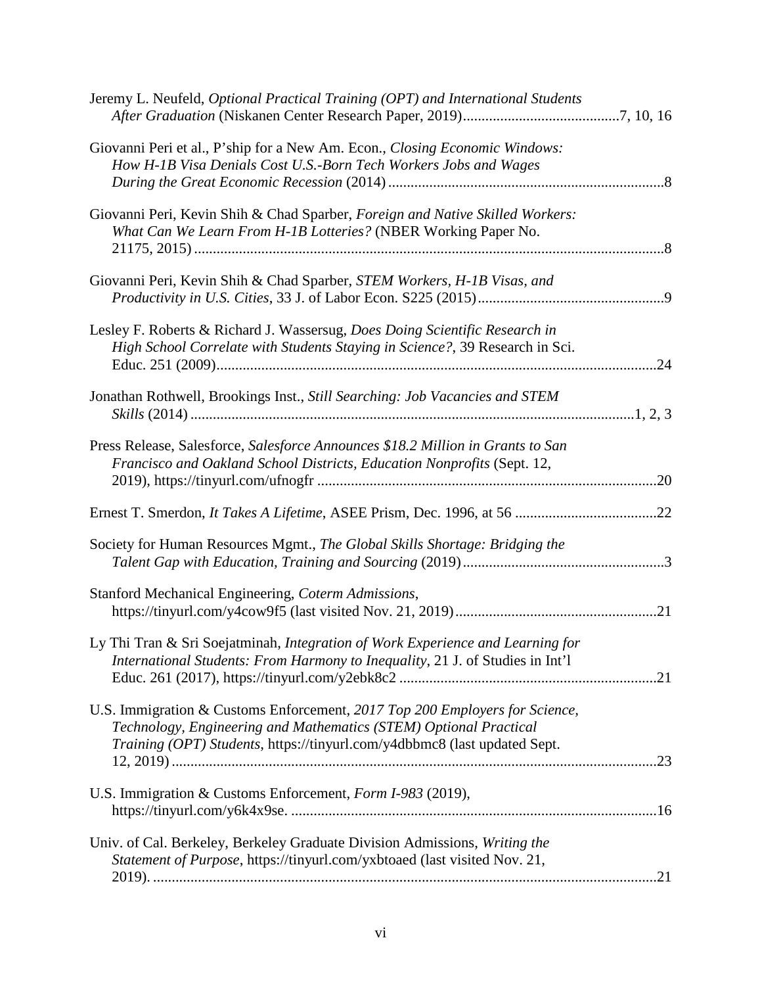| Jeremy L. Neufeld, Optional Practical Training (OPT) and International Students                                                                                                                                               |     |
|-------------------------------------------------------------------------------------------------------------------------------------------------------------------------------------------------------------------------------|-----|
| Giovanni Peri et al., P'ship for a New Am. Econ., Closing Economic Windows:<br>How H-1B Visa Denials Cost U.S.-Born Tech Workers Jobs and Wages                                                                               |     |
| Giovanni Peri, Kevin Shih & Chad Sparber, Foreign and Native Skilled Workers:<br>What Can We Learn From H-1B Lotteries? (NBER Working Paper No.                                                                               |     |
| Giovanni Peri, Kevin Shih & Chad Sparber, STEM Workers, H-1B Visas, and                                                                                                                                                       |     |
| Lesley F. Roberts & Richard J. Wassersug, Does Doing Scientific Research in<br>High School Correlate with Students Staying in Science?, 39 Research in Sci.                                                                   |     |
| Jonathan Rothwell, Brookings Inst., Still Searching: Job Vacancies and STEM                                                                                                                                                   |     |
| Press Release, Salesforce, Salesforce Announces \$18.2 Million in Grants to San<br>Francisco and Oakland School Districts, Education Nonprofits (Sept. 12,                                                                    | .20 |
|                                                                                                                                                                                                                               |     |
| Society for Human Resources Mgmt., The Global Skills Shortage: Bridging the                                                                                                                                                   |     |
| Stanford Mechanical Engineering, Coterm Admissions,                                                                                                                                                                           |     |
| Ly Thi Tran & Sri Soejatminah, Integration of Work Experience and Learning for<br>International Students: From Harmony to Inequality, 21 J. of Studies in Int'l                                                               |     |
| U.S. Immigration & Customs Enforcement, 2017 Top 200 Employers for Science,<br>Technology, Engineering and Mathematics (STEM) Optional Practical<br>Training (OPT) Students, https://tinyurl.com/y4dbbmc8 (last updated Sept. |     |
| U.S. Immigration & Customs Enforcement, Form I-983 (2019),                                                                                                                                                                    |     |
| Univ. of Cal. Berkeley, Berkeley Graduate Division Admissions, Writing the<br>Statement of Purpose, https://tinyurl.com/yxbtoaed (last visited Nov. 21,                                                                       |     |
|                                                                                                                                                                                                                               |     |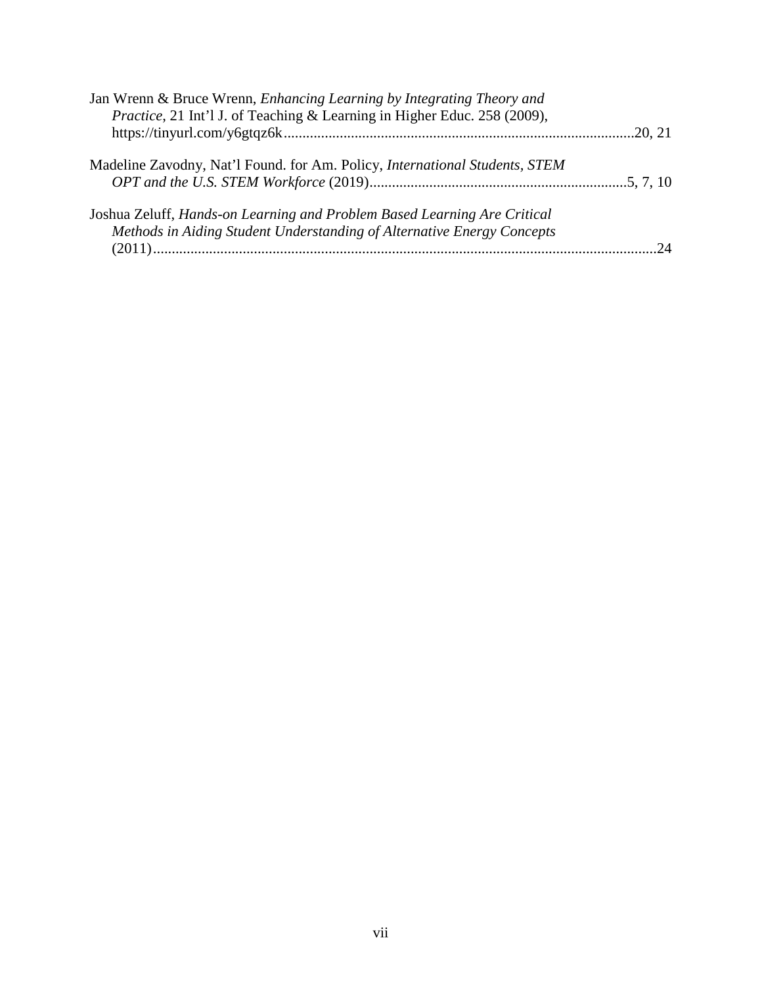| Jan Wrenn & Bruce Wrenn, <i>Enhancing Learning by Integrating Theory and</i>               |         |
|--------------------------------------------------------------------------------------------|---------|
| Practice, 21 Int'l J. of Teaching & Learning in Higher Educ. 258 (2009),                   |         |
|                                                                                            | .20, 21 |
| Madeline Zavodny, Nat'l Found. for Am. Policy, <i>International Students</i> , <i>STEM</i> |         |
|                                                                                            |         |
| Joshua Zeluff, Hands-on Learning and Problem Based Learning Are Critical                   |         |
| Methods in Aiding Student Understanding of Alternative Energy Concepts                     |         |
|                                                                                            | 24      |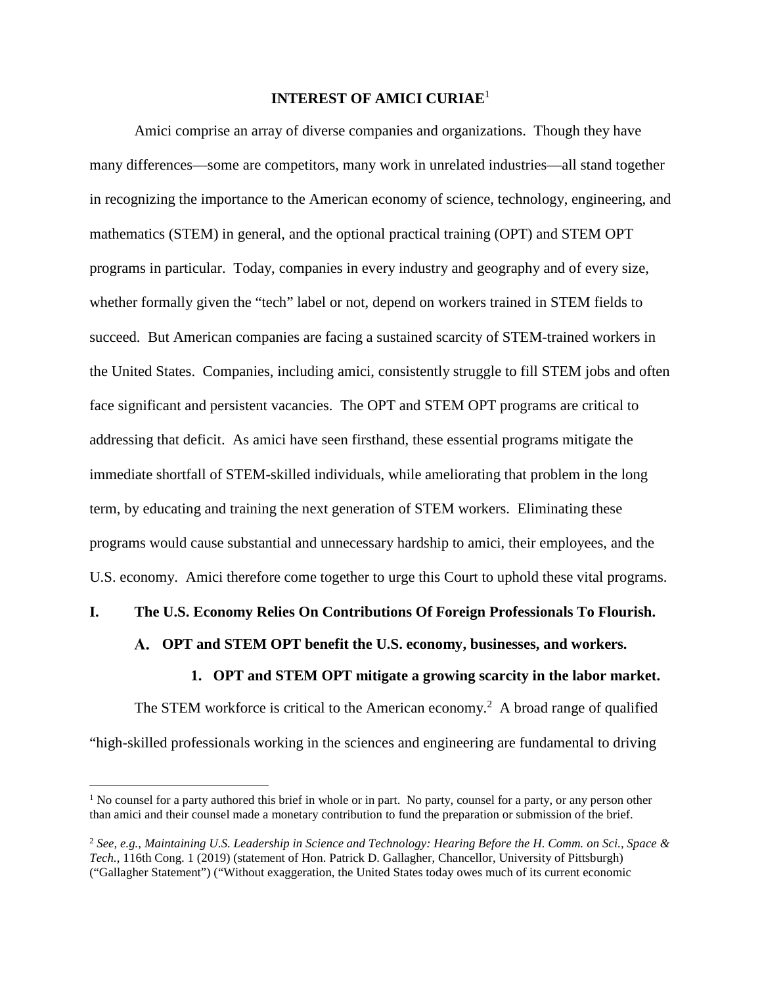### **INTEREST OF AMICI CURIAE**<sup>1</sup>

Amici comprise an array of diverse companies and organizations. Though they have many differences—some are competitors, many work in unrelated industries—all stand together in recognizing the importance to the American economy of science, technology, engineering, and mathematics (STEM) in general, and the optional practical training (OPT) and STEM OPT programs in particular. Today, companies in every industry and geography and of every size, whether formally given the "tech" label or not, depend on workers trained in STEM fields to succeed. But American companies are facing a sustained scarcity of STEM-trained workers in the United States. Companies, including amici, consistently struggle to fill STEM jobs and often face significant and persistent vacancies. The OPT and STEM OPT programs are critical to addressing that deficit. As amici have seen firsthand, these essential programs mitigate the immediate shortfall of STEM-skilled individuals, while ameliorating that problem in the long term, by educating and training the next generation of STEM workers. Eliminating these programs would cause substantial and unnecessary hardship to amici, their employees, and the U.S. economy. Amici therefore come together to urge this Court to uphold these vital programs.

#### **I. The U.S. Economy Relies On Contributions Of Foreign Professionals To Flourish.**

#### **OPT and STEM OPT benefit the U.S. economy, businesses, and workers.**

#### **1. OPT and STEM OPT mitigate a growing scarcity in the labor market.**

The STEM workforce is critical to the American economy.<sup>2</sup> A broad range of qualified "high-skilled professionals working in the sciences and engineering are fundamental to driving

<sup>&</sup>lt;sup>1</sup> No counsel for a party authored this brief in whole or in part. No party, counsel for a party, or any person other than amici and their counsel made a monetary contribution to fund the preparation or submission of the brief.

<sup>2</sup> *See, e.g.*, *Maintaining U.S. Leadership in Science and Technology: Hearing Before the H. Comm. on Sci., Space & Tech.*, 116th Cong. 1 (2019) (statement of Hon. Patrick D. Gallagher, Chancellor, University of Pittsburgh) ("Gallagher Statement") ("Without exaggeration, the United States today owes much of its current economic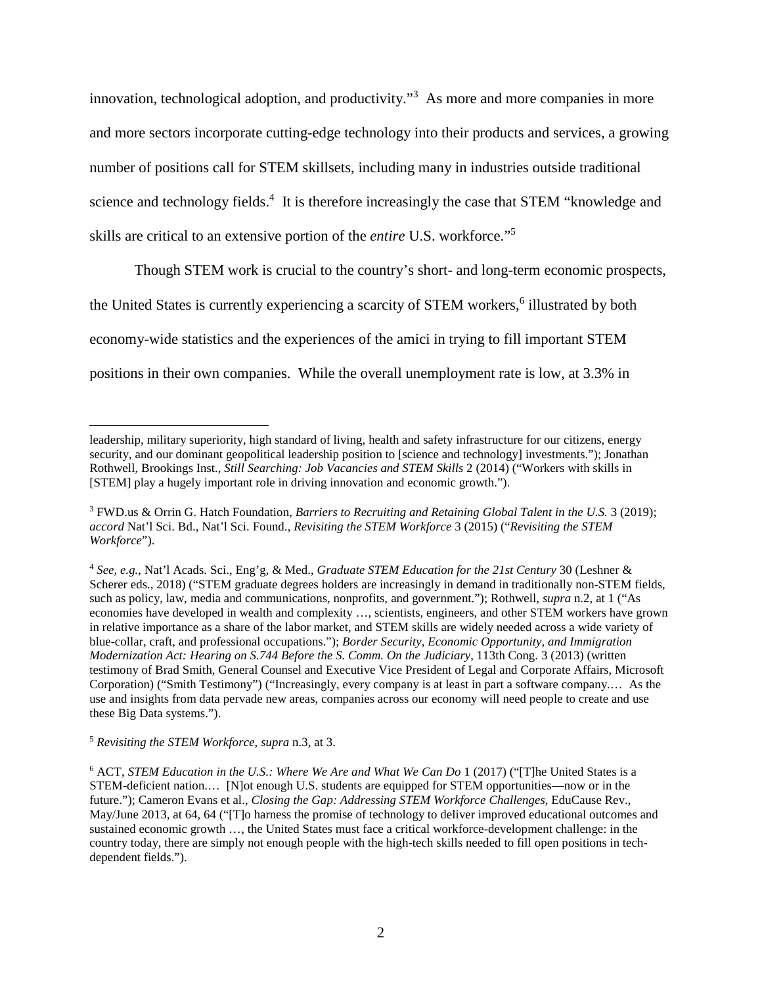innovation, technological adoption, and productivity."<sup>3</sup> As more and more companies in more and more sectors incorporate cutting-edge technology into their products and services, a growing number of positions call for STEM skillsets, including many in industries outside traditional science and technology fields.<sup>4</sup> It is therefore increasingly the case that STEM "knowledge and skills are critical to an extensive portion of the *entire* U.S. workforce."<sup>5</sup>

Though STEM work is crucial to the country's short- and long-term economic prospects,

the United States is currently experiencing a scarcity of STEM workers,<sup>6</sup> illustrated by both

economy-wide statistics and the experiences of the amici in trying to fill important STEM

positions in their own companies. While the overall unemployment rate is low, at 3.3% in

<sup>4</sup> *See, e.g.*, Nat'l Acads. Sci., Eng'g, & Med., *Graduate STEM Education for the 21st Century* 30 (Leshner & Scherer eds., 2018) ("STEM graduate degrees holders are increasingly in demand in traditionally non-STEM fields, such as policy, law, media and communications, nonprofits, and government."); Rothwell, *supra* n.2, at 1 ("As economies have developed in wealth and complexity …, scientists, engineers, and other STEM workers have grown in relative importance as a share of the labor market, and STEM skills are widely needed across a wide variety of blue-collar, craft, and professional occupations."); *Border Security, Economic Opportunity, and Immigration Modernization Act: Hearing on S.744 Before the S. Comm. On the Judiciary*, 113th Cong. 3 (2013) (written testimony of Brad Smith, General Counsel and Executive Vice President of Legal and Corporate Affairs, Microsoft Corporation) ("Smith Testimony") ("Increasingly, every company is at least in part a software company.… As the use and insights from data pervade new areas, companies across our economy will need people to create and use these Big Data systems.").

<sup>5</sup> *Revisiting the STEM Workforce*, *supra* n.3, at 3.

6 ACT, *STEM Education in the U.S.: Where We Are and What We Can Do* 1 (2017) ("[T]he United States is a STEM-deficient nation.… [N]ot enough U.S. students are equipped for STEM opportunities—now or in the future."); Cameron Evans et al., *Closing the Gap: Addressing STEM Workforce Challenges*, EduCause Rev., May/June 2013, at 64, 64 ("T]o harness the promise of technology to deliver improved educational outcomes and sustained economic growth …, the United States must face a critical workforce-development challenge: in the country today, there are simply not enough people with the high-tech skills needed to fill open positions in techdependent fields.").

leadership, military superiority, high standard of living, health and safety infrastructure for our citizens, energy security, and our dominant geopolitical leadership position to [science and technology] investments."); Jonathan Rothwell, Brookings Inst., *Still Searching: Job Vacancies and STEM Skills* 2 (2014) ("Workers with skills in [STEM] play a hugely important role in driving innovation and economic growth.").

<sup>3</sup> FWD.us & Orrin G. Hatch Foundation, *Barriers to Recruiting and Retaining Global Talent in the U.S.* 3 (2019); *accord* Nat'l Sci. Bd., Nat'l Sci. Found., *Revisiting the STEM Workforce* 3 (2015) ("*Revisiting the STEM Workforce*").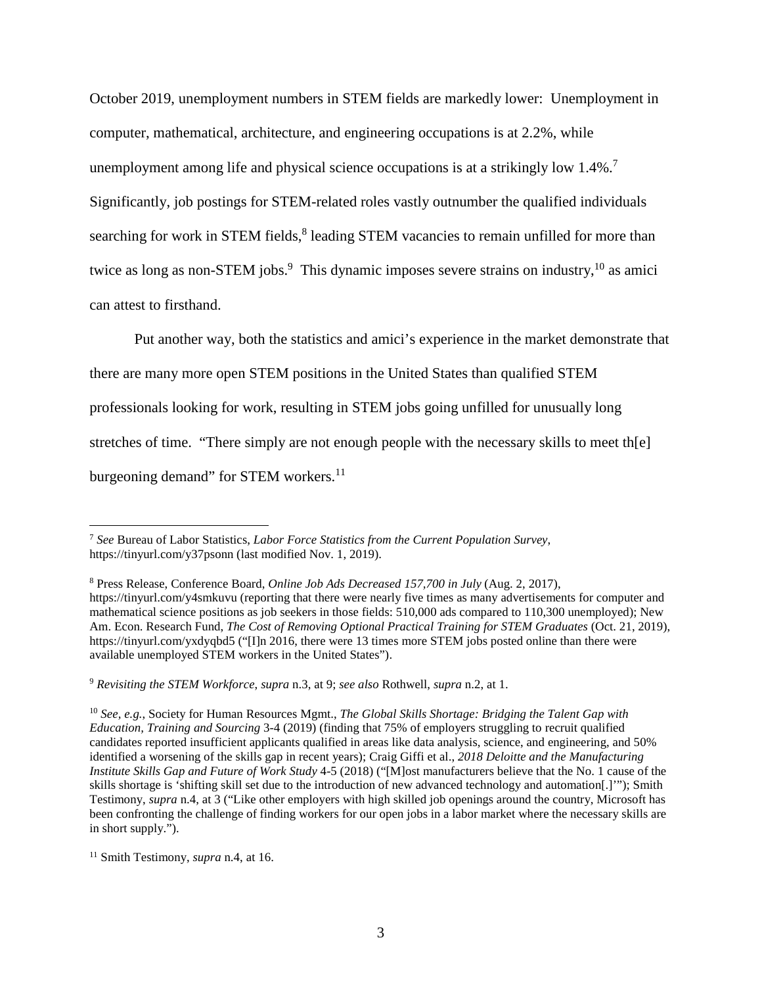October 2019, unemployment numbers in STEM fields are markedly lower: Unemployment in computer, mathematical, architecture, and engineering occupations is at 2.2%, while unemployment among life and physical science occupations is at a strikingly low 1.4%.<sup>7</sup> Significantly, job postings for STEM-related roles vastly outnumber the qualified individuals searching for work in STEM fields,<sup>8</sup> leading STEM vacancies to remain unfilled for more than twice as long as non-STEM jobs.<sup>9</sup> This dynamic imposes severe strains on industry,  $10$  as amici can attest to firsthand.

Put another way, both the statistics and amici's experience in the market demonstrate that there are many more open STEM positions in the United States than qualified STEM professionals looking for work, resulting in STEM jobs going unfilled for unusually long stretches of time. "There simply are not enough people with the necessary skills to meet th[e] burgeoning demand" for STEM workers.<sup>11</sup>

<sup>7</sup> *See* Bureau of Labor Statistics, *Labor Force Statistics from the Current Population Survey*, https://tinyurl.com/y37psonn (last modified Nov. 1, 2019).

<sup>8</sup> Press Release, Conference Board, *Online Job Ads Decreased 157,700 in July* (Aug. 2, 2017), https://tinyurl.com/y4smkuvu (reporting that there were nearly five times as many advertisements for computer and mathematical science positions as job seekers in those fields: 510,000 ads compared to 110,300 unemployed); New Am. Econ. Research Fund, *The Cost of Removing Optional Practical Training for STEM Graduates* (Oct. 21, 2019), https://tinyurl.com/yxdyqbd5 ("[I]n 2016, there were 13 times more STEM jobs posted online than there were available unemployed STEM workers in the United States").

<sup>9</sup> *Revisiting the STEM Workforce*, *supra* n.3, at 9; *see also* Rothwell, *supra* n.2, at 1.

<sup>10</sup> *See, e.g.*, Society for Human Resources Mgmt., *The Global Skills Shortage: Bridging the Talent Gap with Education, Training and Sourcing* 3-4 (2019) (finding that 75% of employers struggling to recruit qualified candidates reported insufficient applicants qualified in areas like data analysis, science, and engineering, and 50% identified a worsening of the skills gap in recent years); Craig Giffi et al., *2018 Deloitte and the Manufacturing Institute Skills Gap and Future of Work Study* 4-5 (2018) ("[M]ost manufacturers believe that the No. 1 cause of the skills shortage is 'shifting skill set due to the introduction of new advanced technology and automation[.]'"); Smith Testimony, *supra* n.4, at 3 ("Like other employers with high skilled job openings around the country, Microsoft has been confronting the challenge of finding workers for our open jobs in a labor market where the necessary skills are in short supply.").

<sup>11</sup> Smith Testimony, *supra* n.4, at 16.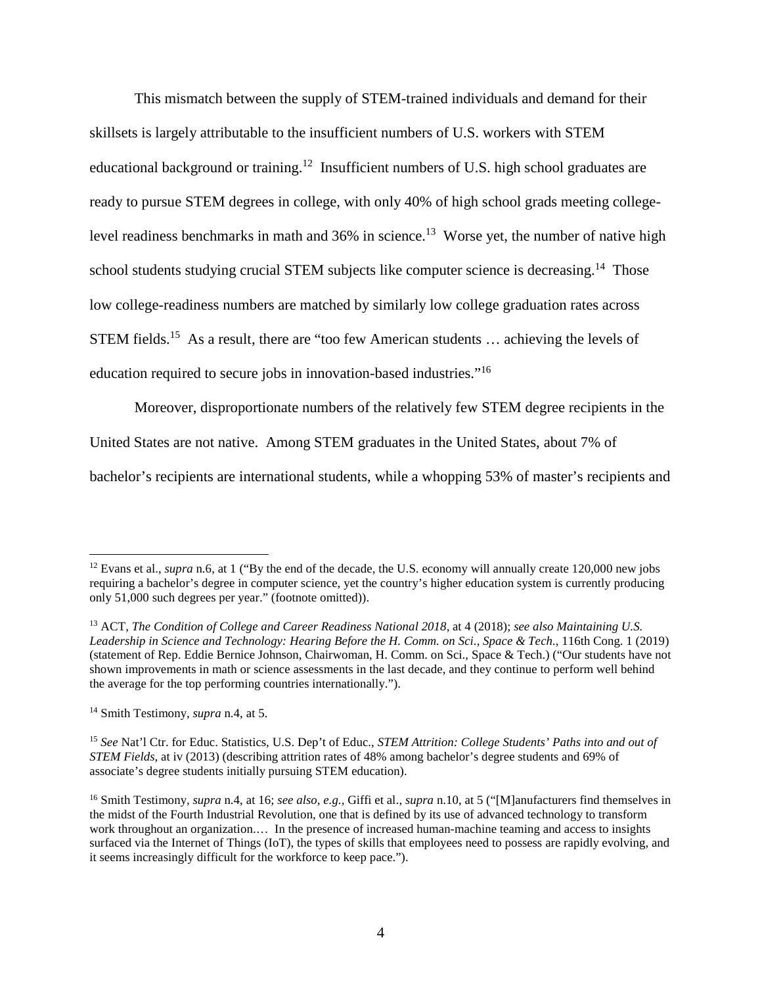This mismatch between the supply of STEM-trained individuals and demand for their skillsets is largely attributable to the insufficient numbers of U.S. workers with STEM educational background or training.<sup>12</sup> Insufficient numbers of U.S. high school graduates are ready to pursue STEM degrees in college, with only 40% of high school grads meeting collegelevel readiness benchmarks in math and  $36\%$  in science.<sup>13</sup> Worse yet, the number of native high school students studying crucial STEM subjects like computer science is decreasing.<sup>14</sup> Those low college-readiness numbers are matched by similarly low college graduation rates across STEM fields.<sup>15</sup> As a result, there are "too few American students ... achieving the levels of education required to secure jobs in innovation-based industries."<sup>16</sup>

Moreover, disproportionate numbers of the relatively few STEM degree recipients in the

United States are not native. Among STEM graduates in the United States, about 7% of

bachelor's recipients are international students, while a whopping 53% of master's recipients and

<sup>&</sup>lt;sup>12</sup> Evans et al., *supra* n.6, at 1 ("By the end of the decade, the U.S. economy will annually create 120,000 new jobs requiring a bachelor's degree in computer science, yet the country's higher education system is currently producing only 51,000 such degrees per year." (footnote omitted)).

<sup>13</sup> ACT, *The Condition of College and Career Readiness National 2018*, at 4 (2018); *see also Maintaining U.S. Leadership in Science and Technology: Hearing Before the H. Comm. on Sci., Space & Tech.*, 116th Cong. 1 (2019) (statement of Rep. Eddie Bernice Johnson, Chairwoman, H. Comm. on Sci., Space & Tech.) ("Our students have not shown improvements in math or science assessments in the last decade, and they continue to perform well behind the average for the top performing countries internationally.").

<sup>14</sup> Smith Testimony, *supra* n.4, at 5.

<sup>15</sup> *See* Nat'l Ctr. for Educ. Statistics, U.S. Dep't of Educ., *STEM Attrition: College Students' Paths into and out of STEM Fields*, at iv (2013) (describing attrition rates of 48% among bachelor's degree students and 69% of associate's degree students initially pursuing STEM education).

<sup>16</sup> Smith Testimony, *supra* n.4, at 16; *see also, e.g.*, Giffi et al., *supra* n.10, at 5 ("[M]anufacturers find themselves in the midst of the Fourth Industrial Revolution, one that is defined by its use of advanced technology to transform work throughout an organization.... In the presence of increased human-machine teaming and access to insights surfaced via the Internet of Things (IoT), the types of skills that employees need to possess are rapidly evolving, and it seems increasingly difficult for the workforce to keep pace.").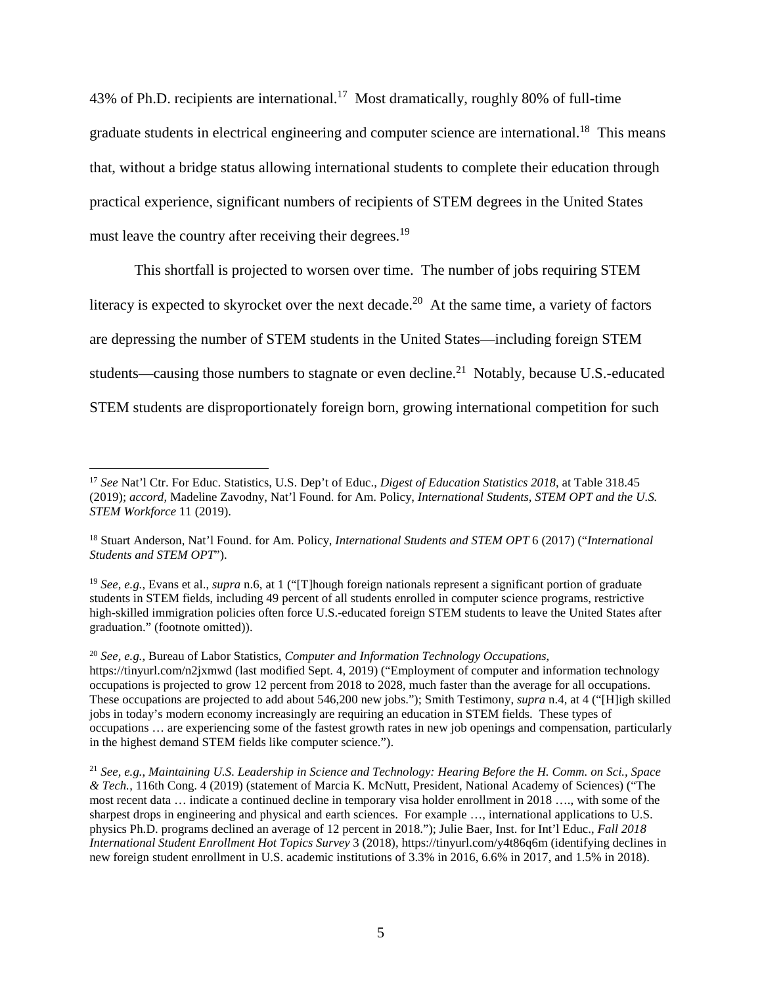43% of Ph.D. recipients are international.<sup>17</sup> Most dramatically, roughly 80% of full-time graduate students in electrical engineering and computer science are international.<sup>18</sup> This means that, without a bridge status allowing international students to complete their education through practical experience, significant numbers of recipients of STEM degrees in the United States must leave the country after receiving their degrees.<sup>19</sup>

This shortfall is projected to worsen over time. The number of jobs requiring STEM literacy is expected to skyrocket over the next decade.<sup>20</sup> At the same time, a variety of factors are depressing the number of STEM students in the United States—including foreign STEM students—causing those numbers to stagnate or even decline.<sup>21</sup> Notably, because U.S.-educated STEM students are disproportionately foreign born, growing international competition for such

<sup>17</sup> *See* Nat'l Ctr. For Educ. Statistics, U.S. Dep't of Educ., *Digest of Education Statistics 2018*, at Table 318.45 (2019); *accord*, Madeline Zavodny, Nat'l Found. for Am. Policy, *International Students, STEM OPT and the U.S. STEM Workforce* 11 (2019).

<sup>18</sup> Stuart Anderson, Nat'l Found. for Am. Policy, *International Students and STEM OPT* 6 (2017) ("*International Students and STEM OPT*").

<sup>19</sup> *See, e.g.*, Evans et al., *supra* n.6, at 1 ("[T]hough foreign nationals represent a significant portion of graduate students in STEM fields, including 49 percent of all students enrolled in computer science programs, restrictive high-skilled immigration policies often force U.S.-educated foreign STEM students to leave the United States after graduation." (footnote omitted)).

<sup>20</sup> *See, e.g.*, Bureau of Labor Statistics, *Computer and Information Technology Occupations*, https://tinyurl.com/n2jxmwd (last modified Sept. 4, 2019) ("Employment of computer and information technology occupations is projected to grow 12 percent from 2018 to 2028, much faster than the average for all occupations. These occupations are projected to add about 546,200 new jobs."); Smith Testimony, *supra* n.4, at 4 ("[H]igh skilled jobs in today's modern economy increasingly are requiring an education in STEM fields. These types of occupations … are experiencing some of the fastest growth rates in new job openings and compensation, particularly in the highest demand STEM fields like computer science.").

<sup>21</sup> *See, e.g.*, *Maintaining U.S. Leadership in Science and Technology: Hearing Before the H. Comm. on Sci., Space & Tech.*, 116th Cong. 4 (2019) (statement of Marcia K. McNutt, President, National Academy of Sciences) ("The most recent data … indicate a continued decline in temporary visa holder enrollment in 2018 …., with some of the sharpest drops in engineering and physical and earth sciences. For example …, international applications to U.S. physics Ph.D. programs declined an average of 12 percent in 2018."); Julie Baer, Inst. for Int'l Educ., *Fall 2018 International Student Enrollment Hot Topics Survey* 3 (2018), https://tinyurl.com/y4t86q6m (identifying declines in new foreign student enrollment in U.S. academic institutions of 3.3% in 2016, 6.6% in 2017, and 1.5% in 2018).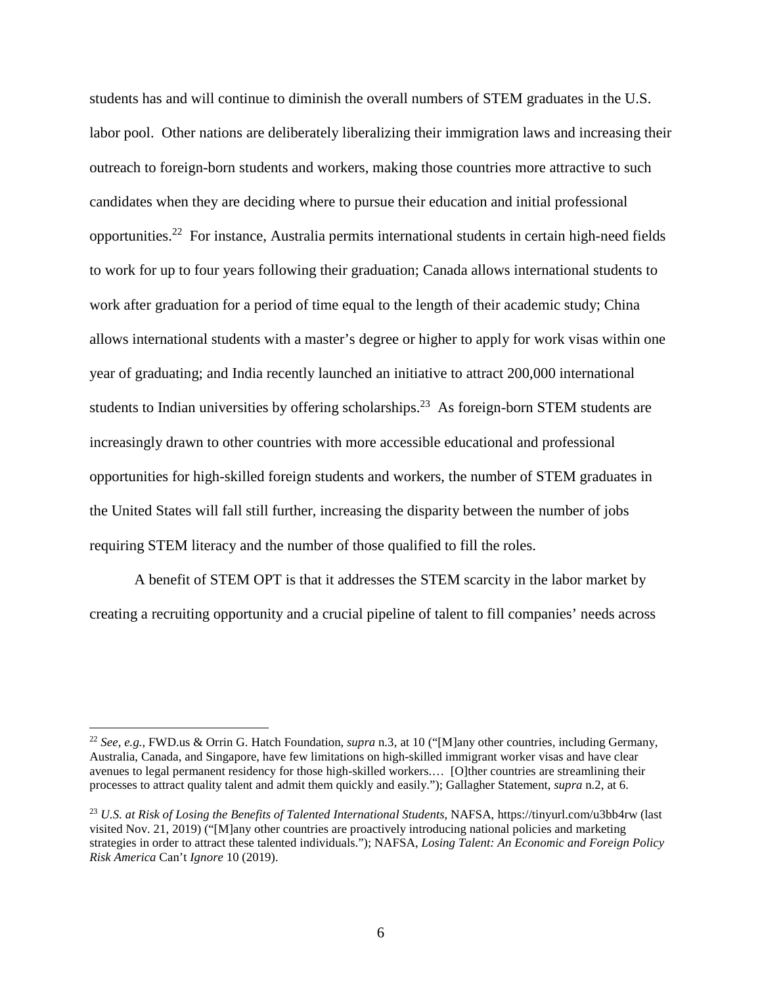students has and will continue to diminish the overall numbers of STEM graduates in the U.S. labor pool. Other nations are deliberately liberalizing their immigration laws and increasing their outreach to foreign-born students and workers, making those countries more attractive to such candidates when they are deciding where to pursue their education and initial professional opportunities.<sup>22</sup> For instance, Australia permits international students in certain high-need fields to work for up to four years following their graduation; Canada allows international students to work after graduation for a period of time equal to the length of their academic study; China allows international students with a master's degree or higher to apply for work visas within one year of graduating; and India recently launched an initiative to attract 200,000 international students to Indian universities by offering scholarships.<sup>23</sup> As foreign-born STEM students are increasingly drawn to other countries with more accessible educational and professional opportunities for high-skilled foreign students and workers, the number of STEM graduates in the United States will fall still further, increasing the disparity between the number of jobs requiring STEM literacy and the number of those qualified to fill the roles.

A benefit of STEM OPT is that it addresses the STEM scarcity in the labor market by creating a recruiting opportunity and a crucial pipeline of talent to fill companies' needs across

<sup>22</sup> *See, e.g.*, FWD.us & Orrin G. Hatch Foundation, *supra* n.3, at 10 ("[M]any other countries, including Germany, Australia, Canada, and Singapore, have few limitations on high-skilled immigrant worker visas and have clear avenues to legal permanent residency for those high-skilled workers.… [O]ther countries are streamlining their processes to attract quality talent and admit them quickly and easily."); Gallagher Statement, *supra* n.2, at 6.

<sup>23</sup> *U.S. at Risk of Losing the Benefits of Talented International Students*, NAFSA, https://tinyurl.com/u3bb4rw (last visited Nov. 21, 2019) ("[M]any other countries are proactively introducing national policies and marketing strategies in order to attract these talented individuals."); NAFSA, *Losing Talent: An Economic and Foreign Policy Risk America* Can't *Ignore* 10 (2019).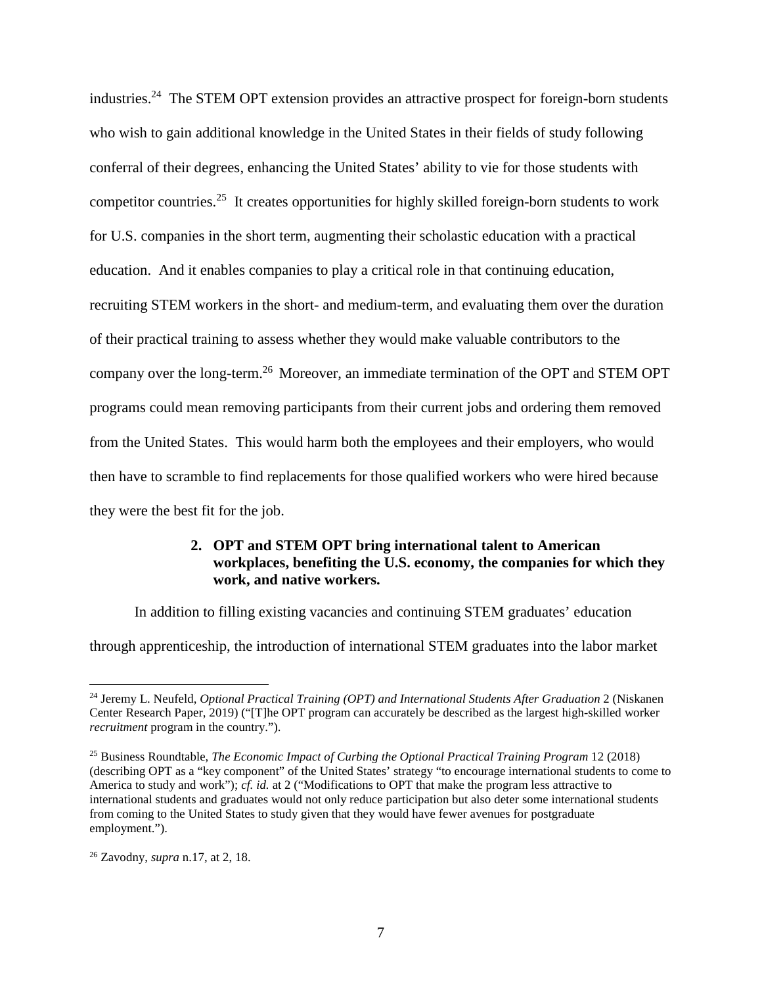industries.<sup>24</sup> The STEM OPT extension provides an attractive prospect for foreign-born students who wish to gain additional knowledge in the United States in their fields of study following conferral of their degrees, enhancing the United States' ability to vie for those students with competitor countries.<sup>25</sup> It creates opportunities for highly skilled foreign-born students to work for U.S. companies in the short term, augmenting their scholastic education with a practical education. And it enables companies to play a critical role in that continuing education, recruiting STEM workers in the short- and medium-term, and evaluating them over the duration of their practical training to assess whether they would make valuable contributors to the company over the long-term.<sup>26</sup> Moreover, an immediate termination of the OPT and STEM OPT programs could mean removing participants from their current jobs and ordering them removed from the United States. This would harm both the employees and their employers, who would then have to scramble to find replacements for those qualified workers who were hired because they were the best fit for the job.

### **2. OPT and STEM OPT bring international talent to American workplaces, benefiting the U.S. economy, the companies for which they work, and native workers.**

In addition to filling existing vacancies and continuing STEM graduates' education

through apprenticeship, the introduction of international STEM graduates into the labor market

<sup>&</sup>lt;sup>24</sup> Jeremy L. Neufeld, *Optional Practical Training (OPT) and International Students After Graduation* 2 (Niskanen Center Research Paper, 2019) ("[T]he OPT program can accurately be described as the largest high-skilled worker *recruitment* program in the country.").

<sup>25</sup> Business Roundtable, *The Economic Impact of Curbing the Optional Practical Training Program* 12 (2018) (describing OPT as a "key component" of the United States' strategy "to encourage international students to come to America to study and work"); *cf. id.* at 2 ("Modifications to OPT that make the program less attractive to international students and graduates would not only reduce participation but also deter some international students from coming to the United States to study given that they would have fewer avenues for postgraduate employment.").

<sup>26</sup> Zavodny, *supra* n.17, at 2, 18.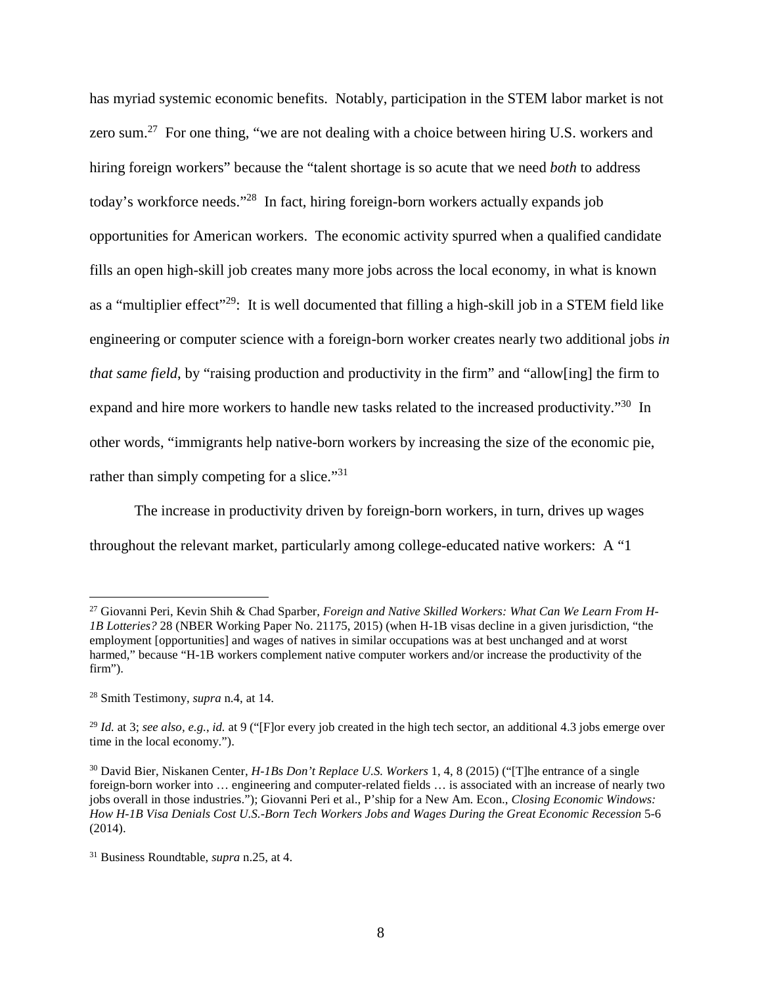has myriad systemic economic benefits. Notably, participation in the STEM labor market is not zero sum.<sup>27</sup> For one thing, "we are not dealing with a choice between hiring U.S. workers and hiring foreign workers" because the "talent shortage is so acute that we need *both* to address today's workforce needs."<sup>28</sup> In fact, hiring foreign-born workers actually expands job opportunities for American workers. The economic activity spurred when a qualified candidate fills an open high-skill job creates many more jobs across the local economy, in what is known as a "multiplier effect"<sup>29</sup>: It is well documented that filling a high-skill job in a STEM field like engineering or computer science with a foreign-born worker creates nearly two additional jobs *in that same field*, by "raising production and productivity in the firm" and "allow[ing] the firm to expand and hire more workers to handle new tasks related to the increased productivity."<sup>30</sup> In other words, "immigrants help native-born workers by increasing the size of the economic pie, rather than simply competing for a slice."<sup>31</sup>

The increase in productivity driven by foreign-born workers, in turn, drives up wages throughout the relevant market, particularly among college-educated native workers: A "1

<sup>27</sup> Giovanni Peri, Kevin Shih & Chad Sparber, *Foreign and Native Skilled Workers: What Can We Learn From H-1B Lotteries?* 28 (NBER Working Paper No. 21175, 2015) (when H-1B visas decline in a given jurisdiction, "the employment [opportunities] and wages of natives in similar occupations was at best unchanged and at worst harmed," because "H-1B workers complement native computer workers and/or increase the productivity of the firm").

<sup>28</sup> Smith Testimony, *supra* n.4, at 14.

<sup>&</sup>lt;sup>29</sup> *Id.* at 3; *see also, e.g., id.* at 9 ("[F]or every job created in the high tech sector, an additional 4.3 jobs emerge over time in the local economy.").

<sup>30</sup> David Bier, Niskanen Center, *H-1Bs Don't Replace U.S. Workers* 1, 4, 8 (2015) ("[T]he entrance of a single foreign-born worker into … engineering and computer-related fields … is associated with an increase of nearly two jobs overall in those industries."); Giovanni Peri et al., P'ship for a New Am. Econ., *Closing Economic Windows: How H-1B Visa Denials Cost U.S.-Born Tech Workers Jobs and Wages During the Great Economic Recession* 5-6 (2014).

<sup>31</sup> Business Roundtable, *supra* n.25, at 4.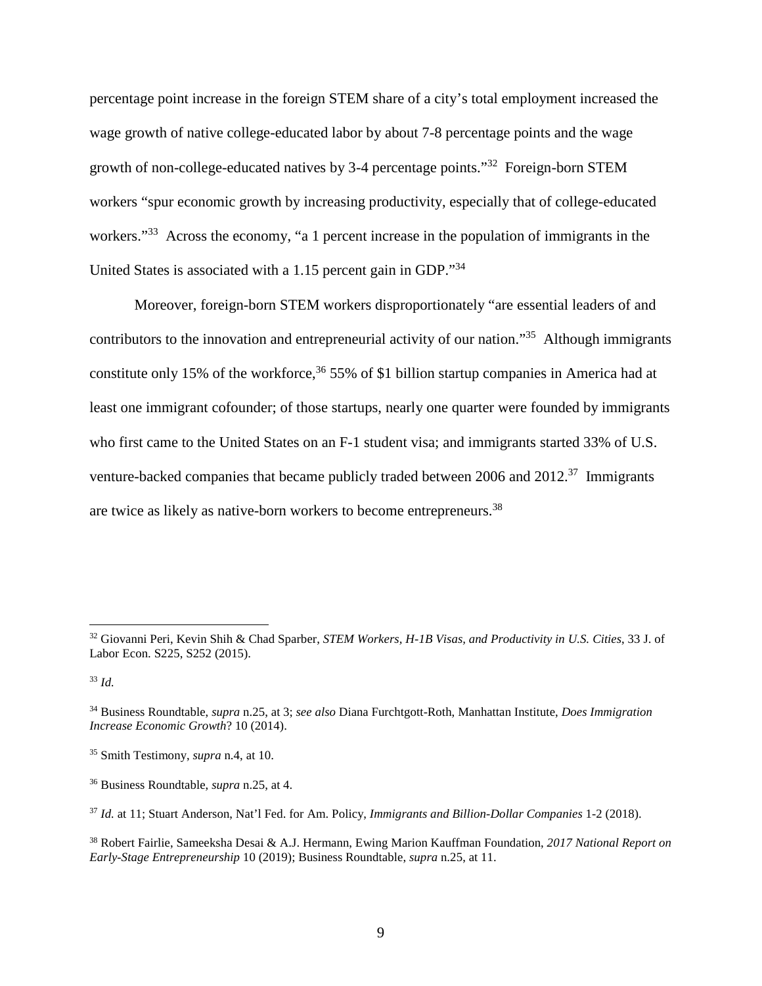percentage point increase in the foreign STEM share of a city's total employment increased the wage growth of native college-educated labor by about 7-8 percentage points and the wage growth of non-college-educated natives by 3-4 percentage points."<sup>32</sup> Foreign-born STEM workers "spur economic growth by increasing productivity, especially that of college-educated workers."<sup>33</sup> Across the economy, "a 1 percent increase in the population of immigrants in the United States is associated with a 1.15 percent gain in GDP."<sup>34</sup>

Moreover, foreign-born STEM workers disproportionately "are essential leaders of and contributors to the innovation and entrepreneurial activity of our nation."<sup>35</sup> Although immigrants constitute only 15% of the workforce,<sup>36</sup> 55% of \$1 billion startup companies in America had at least one immigrant cofounder; of those startups, nearly one quarter were founded by immigrants who first came to the United States on an F-1 student visa; and immigrants started 33% of U.S. venture-backed companies that became publicly traded between 2006 and 2012.<sup>37</sup> Immigrants are twice as likely as native-born workers to become entrepreneurs.<sup>38</sup>

<sup>32</sup> Giovanni Peri, Kevin Shih & Chad Sparber, *STEM Workers, H-1B Visas, and Productivity in U.S. Cities*, 33 J. of Labor Econ. S225, S252 (2015).

<sup>33</sup> *Id.*

<sup>34</sup> Business Roundtable, *supra* n.25, at 3; *see also* Diana Furchtgott-Roth, Manhattan Institute, *Does Immigration Increase Economic Growth*? 10 (2014).

<sup>35</sup> Smith Testimony, *supra* n.4, at 10.

<sup>36</sup> Business Roundtable, *supra* n.25, at 4.

<sup>37</sup> *Id.* at 11; Stuart Anderson, Nat'l Fed. for Am. Policy, *Immigrants and Billion-Dollar Companies* 1-2 (2018).

<sup>38</sup> Robert Fairlie, Sameeksha Desai & A.J. Hermann, Ewing Marion Kauffman Foundation, *2017 National Report on Early-Stage Entrepreneurship* 10 (2019); Business Roundtable, *supra* n.25, at 11.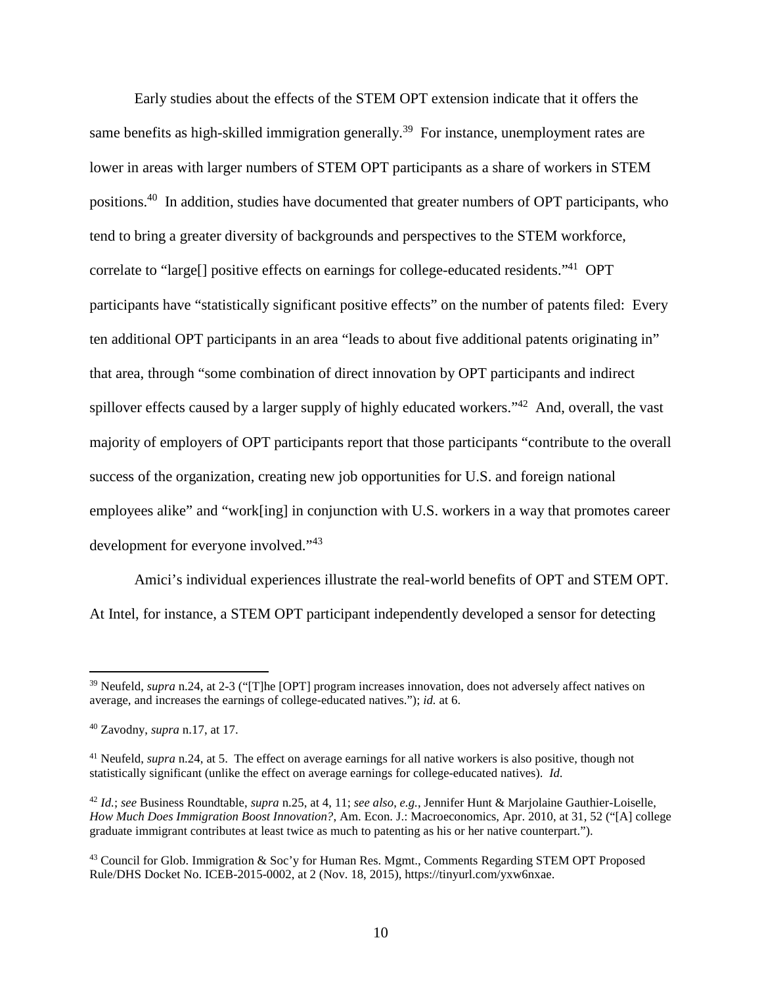Early studies about the effects of the STEM OPT extension indicate that it offers the same benefits as high-skilled immigration generally.<sup>39</sup> For instance, unemployment rates are lower in areas with larger numbers of STEM OPT participants as a share of workers in STEM positions.<sup>40</sup> In addition, studies have documented that greater numbers of OPT participants, who tend to bring a greater diversity of backgrounds and perspectives to the STEM workforce, correlate to "large[] positive effects on earnings for college-educated residents."<sup>41</sup> OPT participants have "statistically significant positive effects" on the number of patents filed: Every ten additional OPT participants in an area "leads to about five additional patents originating in" that area, through "some combination of direct innovation by OPT participants and indirect spillover effects caused by a larger supply of highly educated workers."<sup>42</sup> And, overall, the vast majority of employers of OPT participants report that those participants "contribute to the overall success of the organization, creating new job opportunities for U.S. and foreign national employees alike" and "work[ing] in conjunction with U.S. workers in a way that promotes career development for everyone involved."<sup>43</sup>

Amici's individual experiences illustrate the real-world benefits of OPT and STEM OPT. At Intel, for instance, a STEM OPT participant independently developed a sensor for detecting

<sup>39</sup> Neufeld, *supra* n.24, at 2-3 ("[T]he [OPT] program increases innovation, does not adversely affect natives on average, and increases the earnings of college-educated natives."); *id.* at 6.

<sup>40</sup> Zavodny, *supra* n.17, at 17.

<sup>41</sup> Neufeld, *supra* n.24, at 5. The effect on average earnings for all native workers is also positive, though not statistically significant (unlike the effect on average earnings for college-educated natives). *Id.*

<sup>42</sup> *Id.*; *see* Business Roundtable, *supra* n.25, at 4, 11; *see also*, *e.g.*, Jennifer Hunt & Marjolaine Gauthier-Loiselle, *How Much Does Immigration Boost Innovation?*, Am. Econ. J.: Macroeconomics, Apr. 2010, at 31, 52 ("[A] college graduate immigrant contributes at least twice as much to patenting as his or her native counterpart.").

<sup>&</sup>lt;sup>43</sup> Council for Glob. Immigration & Soc'y for Human Res. Mgmt., Comments Regarding STEM OPT Proposed Rule/DHS Docket No. ICEB-2015-0002, at 2 (Nov. 18, 2015), https://tinyurl.com/yxw6nxae.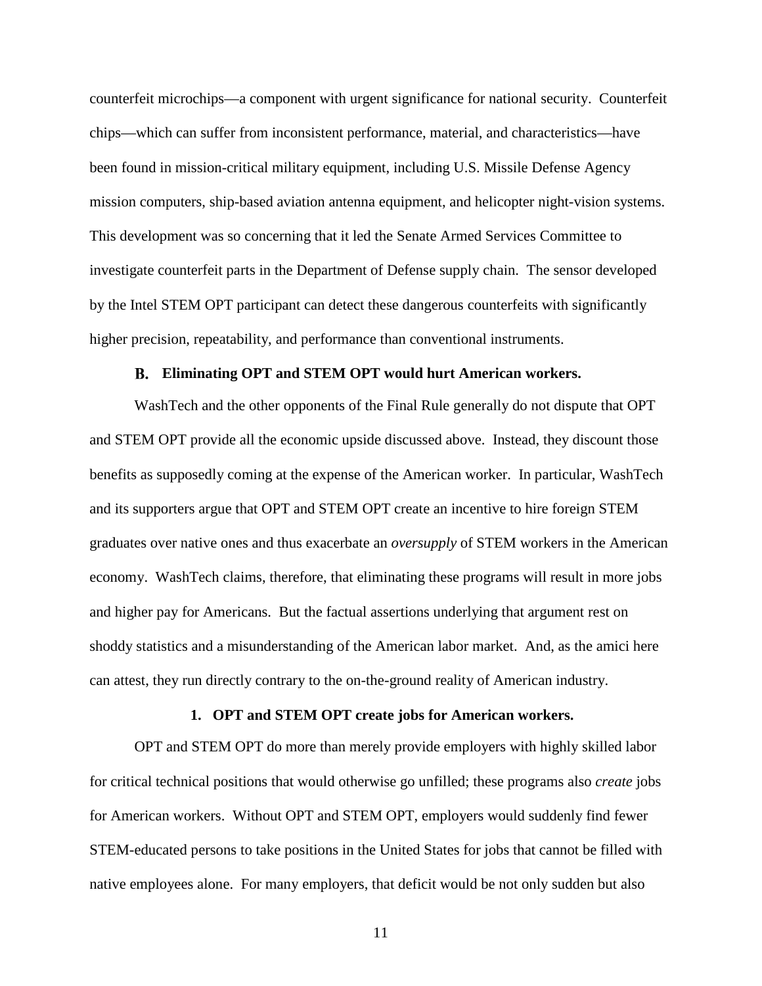counterfeit microchips—a component with urgent significance for national security. Counterfeit chips—which can suffer from inconsistent performance, material, and characteristics—have been found in mission-critical military equipment, including U.S. Missile Defense Agency mission computers, ship-based aviation antenna equipment, and helicopter night-vision systems. This development was so concerning that it led the Senate Armed Services Committee to investigate counterfeit parts in the Department of Defense supply chain. The sensor developed by the Intel STEM OPT participant can detect these dangerous counterfeits with significantly higher precision, repeatability, and performance than conventional instruments.

#### **Eliminating OPT and STEM OPT would hurt American workers.**

WashTech and the other opponents of the Final Rule generally do not dispute that OPT and STEM OPT provide all the economic upside discussed above. Instead, they discount those benefits as supposedly coming at the expense of the American worker. In particular, WashTech and its supporters argue that OPT and STEM OPT create an incentive to hire foreign STEM graduates over native ones and thus exacerbate an *oversupply* of STEM workers in the American economy. WashTech claims, therefore, that eliminating these programs will result in more jobs and higher pay for Americans. But the factual assertions underlying that argument rest on shoddy statistics and a misunderstanding of the American labor market. And, as the amici here can attest, they run directly contrary to the on-the-ground reality of American industry.

#### **1. OPT and STEM OPT create jobs for American workers.**

OPT and STEM OPT do more than merely provide employers with highly skilled labor for critical technical positions that would otherwise go unfilled; these programs also *create* jobs for American workers. Without OPT and STEM OPT, employers would suddenly find fewer STEM-educated persons to take positions in the United States for jobs that cannot be filled with native employees alone. For many employers, that deficit would be not only sudden but also

11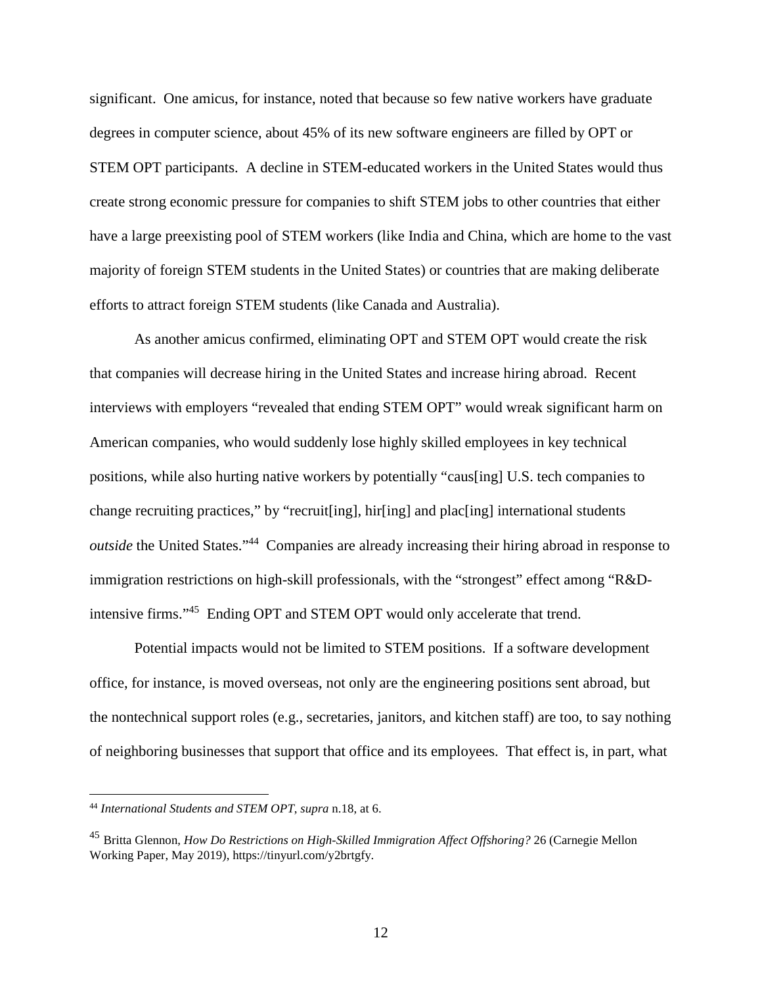significant. One amicus, for instance, noted that because so few native workers have graduate degrees in computer science, about 45% of its new software engineers are filled by OPT or STEM OPT participants. A decline in STEM-educated workers in the United States would thus create strong economic pressure for companies to shift STEM jobs to other countries that either have a large preexisting pool of STEM workers (like India and China, which are home to the vast majority of foreign STEM students in the United States) or countries that are making deliberate efforts to attract foreign STEM students (like Canada and Australia).

As another amicus confirmed, eliminating OPT and STEM OPT would create the risk that companies will decrease hiring in the United States and increase hiring abroad. Recent interviews with employers "revealed that ending STEM OPT" would wreak significant harm on American companies, who would suddenly lose highly skilled employees in key technical positions, while also hurting native workers by potentially "caus[ing] U.S. tech companies to change recruiting practices," by "recruit[ing], hir[ing] and plac[ing] international students *outside* the United States."<sup>44</sup> Companies are already increasing their hiring abroad in response to immigration restrictions on high-skill professionals, with the "strongest" effect among "R&Dintensive firms."<sup>45</sup> Ending OPT and STEM OPT would only accelerate that trend.

Potential impacts would not be limited to STEM positions. If a software development office, for instance, is moved overseas, not only are the engineering positions sent abroad, but the nontechnical support roles (e.g., secretaries, janitors, and kitchen staff) are too, to say nothing of neighboring businesses that support that office and its employees. That effect is, in part, what

<sup>44</sup> *International Students and STEM OPT*, *supra* n.18, at 6.

<sup>45</sup> Britta Glennon, *How Do Restrictions on High-Skilled Immigration Affect Offshoring?* 26 (Carnegie Mellon Working Paper, May 2019), https://tinyurl.com/y2brtgfy.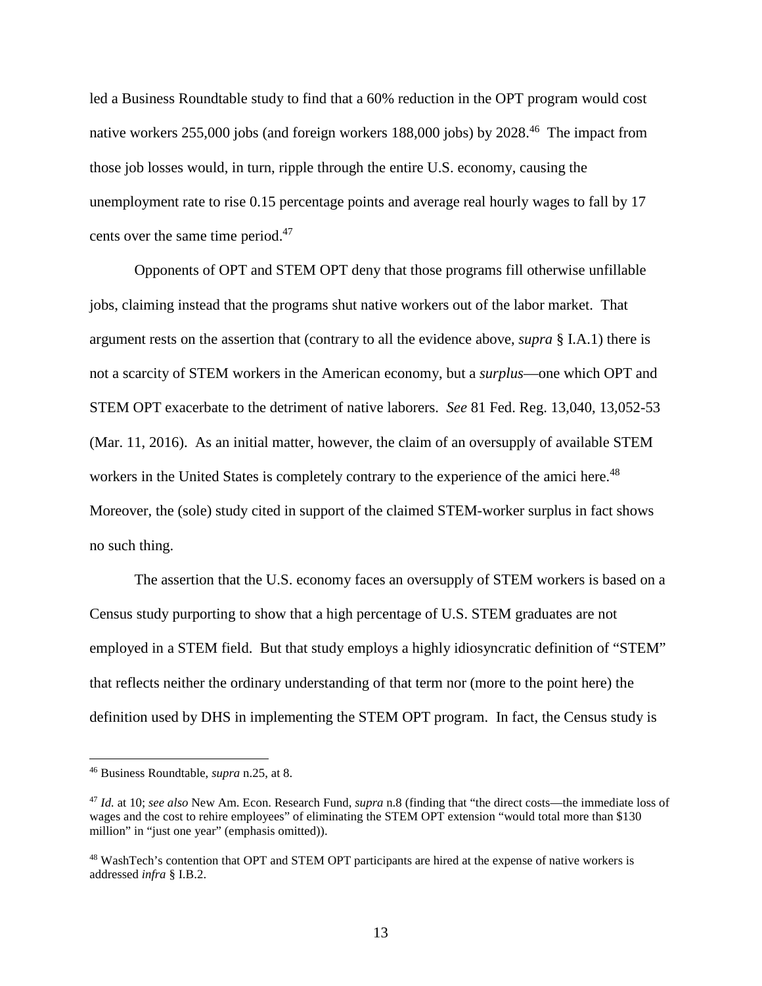led a Business Roundtable study to find that a 60% reduction in the OPT program would cost native workers 255,000 jobs (and foreign workers 188,000 jobs) by 2028.<sup>46</sup> The impact from those job losses would, in turn, ripple through the entire U.S. economy, causing the unemployment rate to rise 0.15 percentage points and average real hourly wages to fall by 17 cents over the same time period.<sup>47</sup>

Opponents of OPT and STEM OPT deny that those programs fill otherwise unfillable jobs, claiming instead that the programs shut native workers out of the labor market. That argument rests on the assertion that (contrary to all the evidence above, *supra* § I.A.1) there is not a scarcity of STEM workers in the American economy, but a *surplus*—one which OPT and STEM OPT exacerbate to the detriment of native laborers. *See* 81 Fed. Reg. 13,040, 13,052-53 (Mar. 11, 2016). As an initial matter, however, the claim of an oversupply of available STEM workers in the United States is completely contrary to the experience of the amici here.<sup>48</sup> Moreover, the (sole) study cited in support of the claimed STEM-worker surplus in fact shows no such thing.

The assertion that the U.S. economy faces an oversupply of STEM workers is based on a Census study purporting to show that a high percentage of U.S. STEM graduates are not employed in a STEM field. But that study employs a highly idiosyncratic definition of "STEM" that reflects neither the ordinary understanding of that term nor (more to the point here) the definition used by DHS in implementing the STEM OPT program. In fact, the Census study is

<sup>46</sup> Business Roundtable, *supra* n.25, at 8.

<sup>47</sup> *Id.* at 10; *see also* New Am. Econ. Research Fund, *supra* n.8 (finding that "the direct costs—the immediate loss of wages and the cost to rehire employees" of eliminating the STEM OPT extension "would total more than \$130 million" in "just one year" (emphasis omitted)).

<sup>48</sup> WashTech's contention that OPT and STEM OPT participants are hired at the expense of native workers is addressed *infra* § I.B.2.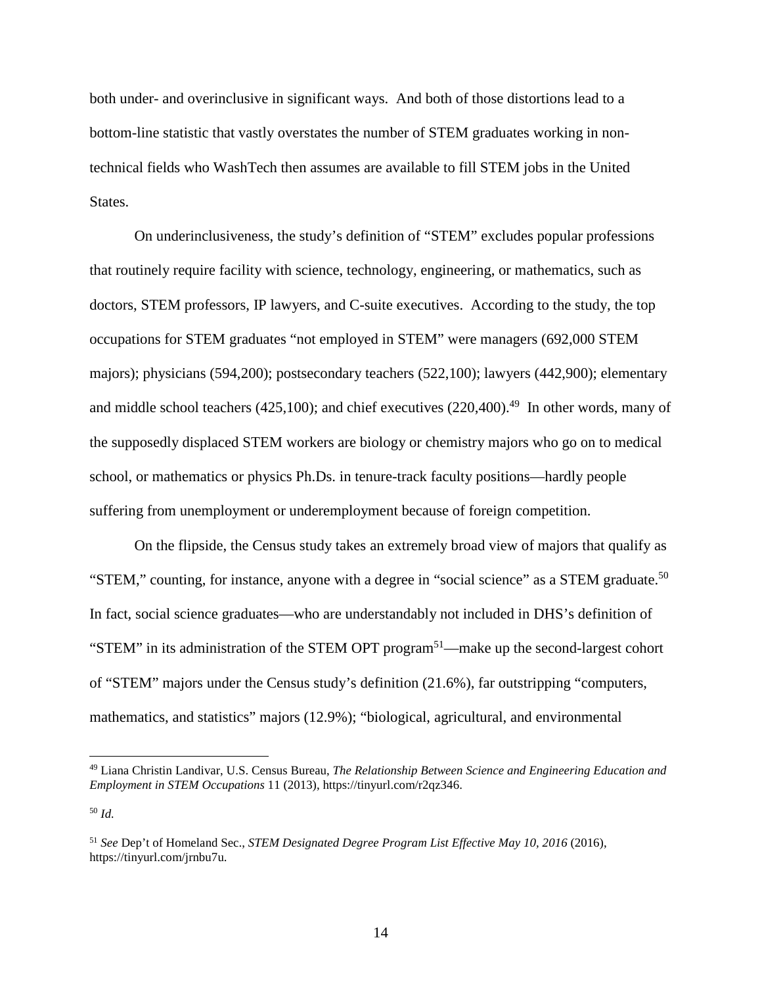both under- and overinclusive in significant ways. And both of those distortions lead to a bottom-line statistic that vastly overstates the number of STEM graduates working in nontechnical fields who WashTech then assumes are available to fill STEM jobs in the United States.

On underinclusiveness, the study's definition of "STEM" excludes popular professions that routinely require facility with science, technology, engineering, or mathematics, such as doctors, STEM professors, IP lawyers, and C-suite executives. According to the study, the top occupations for STEM graduates "not employed in STEM" were managers (692,000 STEM majors); physicians (594,200); postsecondary teachers (522,100); lawyers (442,900); elementary and middle school teachers (425,100); and chief executives (220,400).<sup>49</sup> In other words, many of the supposedly displaced STEM workers are biology or chemistry majors who go on to medical school, or mathematics or physics Ph.Ds. in tenure-track faculty positions—hardly people suffering from unemployment or underemployment because of foreign competition.

On the flipside, the Census study takes an extremely broad view of majors that qualify as "STEM," counting, for instance, anyone with a degree in "social science" as a STEM graduate.<sup>50</sup> In fact, social science graduates—who are understandably not included in DHS's definition of "STEM" in its administration of the STEM OPT program<sup>51</sup>—make up the second-largest cohort of "STEM" majors under the Census study's definition (21.6%), far outstripping "computers, mathematics, and statistics" majors (12.9%); "biological, agricultural, and environmental

<sup>49</sup> Liana Christin Landivar, U.S. Census Bureau, *The Relationship Between Science and Engineering Education and Employment in STEM Occupations* 11 (2013), https://tinyurl.com/r2qz346.

<sup>50</sup> *Id.*

<sup>51</sup> *See* Dep't of Homeland Sec., *STEM Designated Degree Program List Effective May 10, 2016* (2016), https://tinyurl.com/jrnbu7u.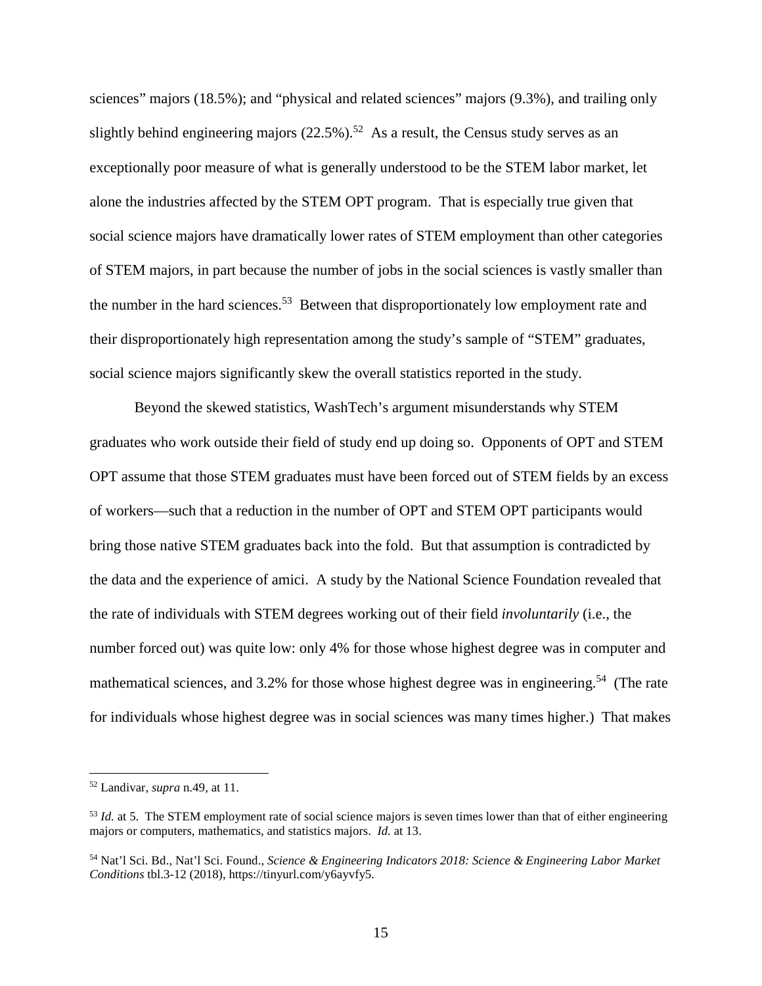sciences" majors (18.5%); and "physical and related sciences" majors (9.3%), and trailing only slightly behind engineering majors  $(22.5\%)$ .<sup>52</sup> As a result, the Census study serves as an exceptionally poor measure of what is generally understood to be the STEM labor market, let alone the industries affected by the STEM OPT program. That is especially true given that social science majors have dramatically lower rates of STEM employment than other categories of STEM majors, in part because the number of jobs in the social sciences is vastly smaller than the number in the hard sciences.<sup>53</sup> Between that disproportionately low employment rate and their disproportionately high representation among the study's sample of "STEM" graduates, social science majors significantly skew the overall statistics reported in the study.

Beyond the skewed statistics, WashTech's argument misunderstands why STEM graduates who work outside their field of study end up doing so. Opponents of OPT and STEM OPT assume that those STEM graduates must have been forced out of STEM fields by an excess of workers—such that a reduction in the number of OPT and STEM OPT participants would bring those native STEM graduates back into the fold. But that assumption is contradicted by the data and the experience of amici. A study by the National Science Foundation revealed that the rate of individuals with STEM degrees working out of their field *involuntarily* (i.e., the number forced out) was quite low: only 4% for those whose highest degree was in computer and mathematical sciences, and 3.2% for those whose highest degree was in engineering.<sup>54</sup> (The rate for individuals whose highest degree was in social sciences was many times higher.) That makes

<sup>52</sup> Landivar, *supra* n.49, at 11.

<sup>&</sup>lt;sup>53</sup> *Id.* at 5. The STEM employment rate of social science majors is seven times lower than that of either engineering majors or computers, mathematics, and statistics majors. *Id.* at 13.

<sup>54</sup> Nat'l Sci. Bd., Nat'l Sci. Found., *Science & Engineering Indicators 2018: Science & Engineering Labor Market Conditions* tbl.3-12 (2018), https://tinyurl.com/y6ayvfy5.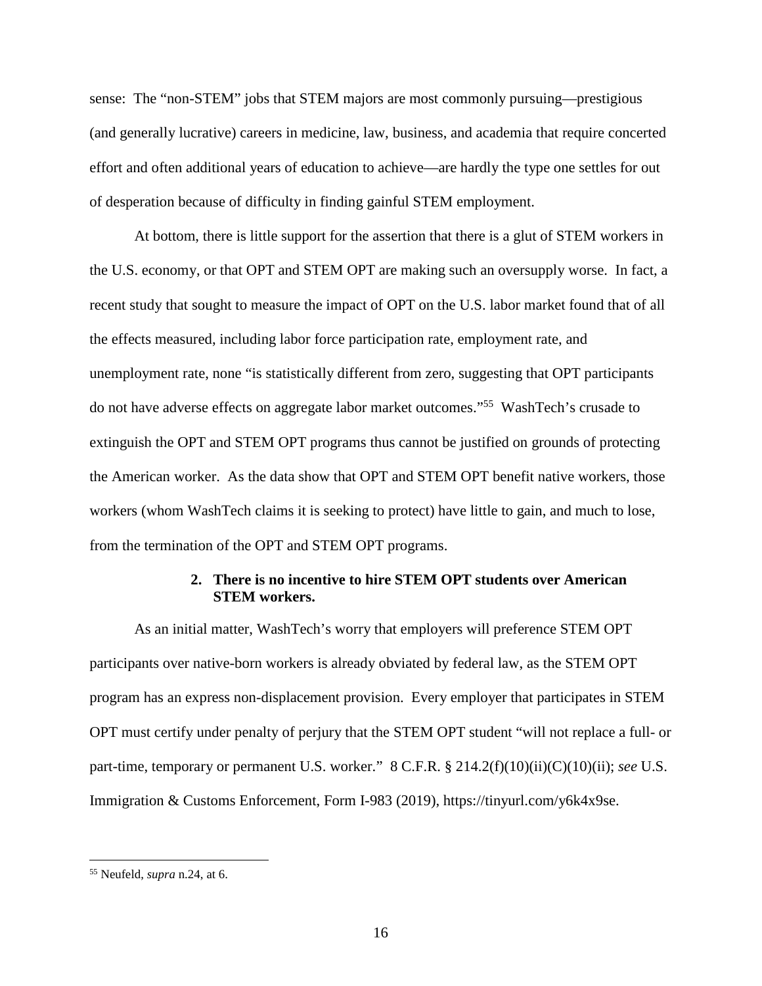sense: The "non-STEM" jobs that STEM majors are most commonly pursuing—prestigious (and generally lucrative) careers in medicine, law, business, and academia that require concerted effort and often additional years of education to achieve—are hardly the type one settles for out of desperation because of difficulty in finding gainful STEM employment.

At bottom, there is little support for the assertion that there is a glut of STEM workers in the U.S. economy, or that OPT and STEM OPT are making such an oversupply worse. In fact, a recent study that sought to measure the impact of OPT on the U.S. labor market found that of all the effects measured, including labor force participation rate, employment rate, and unemployment rate, none "is statistically different from zero, suggesting that OPT participants do not have adverse effects on aggregate labor market outcomes."<sup>55</sup> WashTech's crusade to extinguish the OPT and STEM OPT programs thus cannot be justified on grounds of protecting the American worker. As the data show that OPT and STEM OPT benefit native workers, those workers (whom WashTech claims it is seeking to protect) have little to gain, and much to lose, from the termination of the OPT and STEM OPT programs.

### **2. There is no incentive to hire STEM OPT students over American STEM workers.**

As an initial matter, WashTech's worry that employers will preference STEM OPT participants over native-born workers is already obviated by federal law, as the STEM OPT program has an express non-displacement provision. Every employer that participates in STEM OPT must certify under penalty of perjury that the STEM OPT student "will not replace a full- or part-time, temporary or permanent U.S. worker." 8 C.F.R. § 214.2(f)(10)(ii)(C)(10)(ii); *see* U.S. Immigration & Customs Enforcement, Form I-983 (2019), https://tinyurl.com/y6k4x9se.

<sup>55</sup> Neufeld, *supra* n.24, at 6.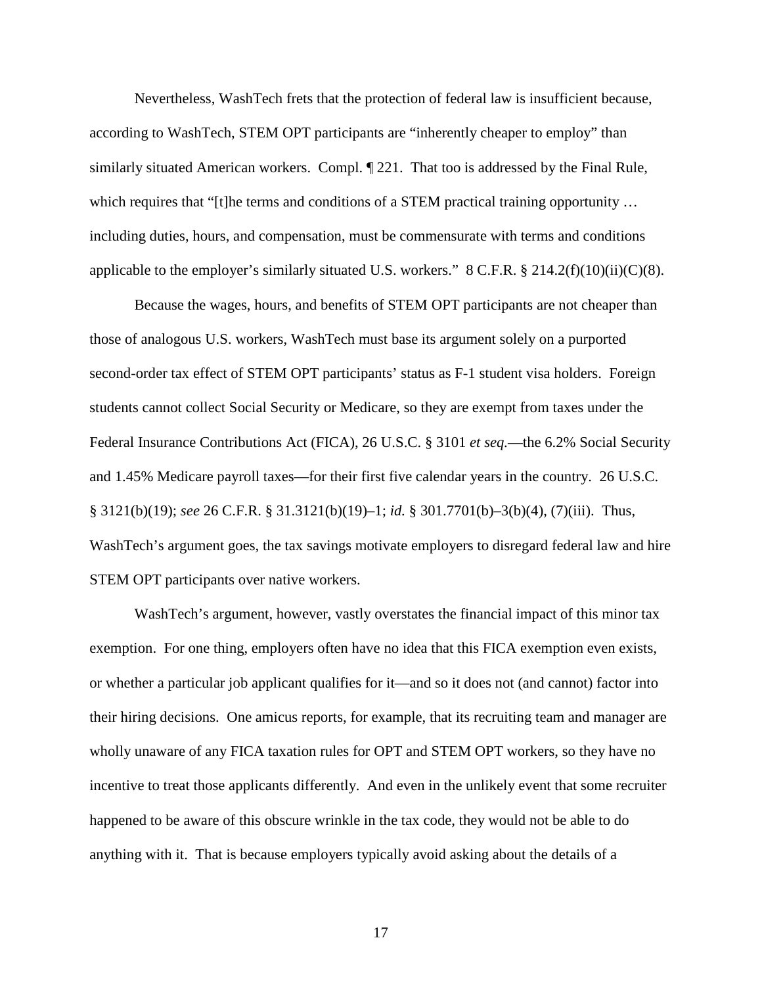Nevertheless, WashTech frets that the protection of federal law is insufficient because, according to WashTech, STEM OPT participants are "inherently cheaper to employ" than similarly situated American workers. Compl. ¶ 221. That too is addressed by the Final Rule, which requires that "[t]he terms and conditions of a STEM practical training opportunity ... including duties, hours, and compensation, must be commensurate with terms and conditions applicable to the employer's similarly situated U.S. workers."  $8 \text{ C.F.R.} \$   $214.2(f)(10)(ii)(C)(8)$ .

Because the wages, hours, and benefits of STEM OPT participants are not cheaper than those of analogous U.S. workers, WashTech must base its argument solely on a purported second-order tax effect of STEM OPT participants' status as F-1 student visa holders. Foreign students cannot collect Social Security or Medicare, so they are exempt from taxes under the Federal Insurance Contributions Act (FICA), 26 U.S.C. § 3101 *et seq.*—the 6.2% Social Security and 1.45% Medicare payroll taxes—for their first five calendar years in the country. 26 U.S.C. § 3121(b)(19); *see* 26 C.F.R. § 31.3121(b)(19)–1; *id.* § 301.7701(b)–3(b)(4), (7)(iii). Thus, WashTech's argument goes, the tax savings motivate employers to disregard federal law and hire STEM OPT participants over native workers.

WashTech's argument, however, vastly overstates the financial impact of this minor tax exemption. For one thing, employers often have no idea that this FICA exemption even exists, or whether a particular job applicant qualifies for it—and so it does not (and cannot) factor into their hiring decisions. One amicus reports, for example, that its recruiting team and manager are wholly unaware of any FICA taxation rules for OPT and STEM OPT workers, so they have no incentive to treat those applicants differently. And even in the unlikely event that some recruiter happened to be aware of this obscure wrinkle in the tax code, they would not be able to do anything with it. That is because employers typically avoid asking about the details of a

17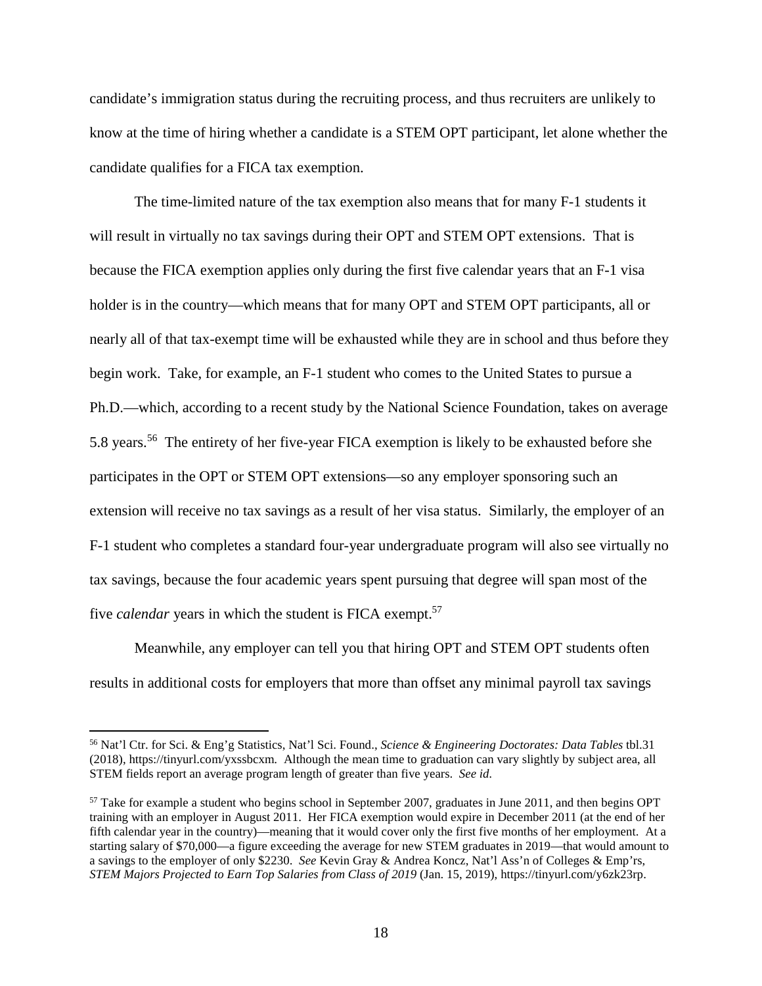candidate's immigration status during the recruiting process, and thus recruiters are unlikely to know at the time of hiring whether a candidate is a STEM OPT participant, let alone whether the candidate qualifies for a FICA tax exemption.

The time-limited nature of the tax exemption also means that for many F-1 students it will result in virtually no tax savings during their OPT and STEM OPT extensions. That is because the FICA exemption applies only during the first five calendar years that an F-1 visa holder is in the country—which means that for many OPT and STEM OPT participants, all or nearly all of that tax-exempt time will be exhausted while they are in school and thus before they begin work. Take, for example, an F-1 student who comes to the United States to pursue a Ph.D.—which, according to a recent study by the National Science Foundation, takes on average 5.8 years.<sup>56</sup> The entirety of her five-year FICA exemption is likely to be exhausted before she participates in the OPT or STEM OPT extensions—so any employer sponsoring such an extension will receive no tax savings as a result of her visa status. Similarly, the employer of an F-1 student who completes a standard four-year undergraduate program will also see virtually no tax savings, because the four academic years spent pursuing that degree will span most of the five *calendar* years in which the student is FICA exempt.<sup>57</sup>

Meanwhile, any employer can tell you that hiring OPT and STEM OPT students often results in additional costs for employers that more than offset any minimal payroll tax savings

<sup>56</sup> Nat'l Ctr. for Sci. & Eng'g Statistics, Nat'l Sci. Found., *Science & Engineering Doctorates: Data Tables* tbl.31 (2018), https://tinyurl.com/yxssbcxm. Although the mean time to graduation can vary slightly by subject area, all STEM fields report an average program length of greater than five years. *See id.*

<sup>57</sup> Take for example a student who begins school in September 2007, graduates in June 2011, and then begins OPT training with an employer in August 2011. Her FICA exemption would expire in December 2011 (at the end of her fifth calendar year in the country)—meaning that it would cover only the first five months of her employment. At a starting salary of \$70,000—a figure exceeding the average for new STEM graduates in 2019—that would amount to a savings to the employer of only \$2230. *See* Kevin Gray & Andrea Koncz, Nat'l Ass'n of Colleges & Emp'rs, *STEM Majors Projected to Earn Top Salaries from Class of 2019* (Jan. 15, 2019), https://tinyurl.com/y6zk23rp.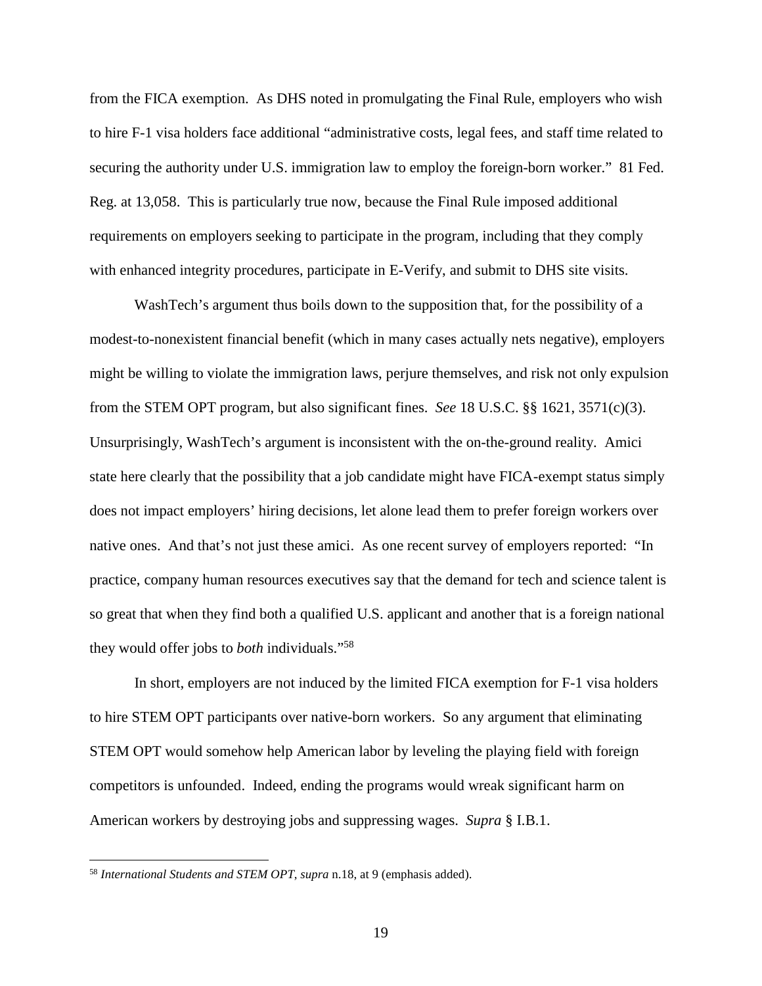from the FICA exemption. As DHS noted in promulgating the Final Rule, employers who wish to hire F-1 visa holders face additional "administrative costs, legal fees, and staff time related to securing the authority under U.S. immigration law to employ the foreign-born worker." 81 Fed. Reg. at 13,058. This is particularly true now, because the Final Rule imposed additional requirements on employers seeking to participate in the program, including that they comply with enhanced integrity procedures, participate in E-Verify, and submit to DHS site visits.

WashTech's argument thus boils down to the supposition that, for the possibility of a modest-to-nonexistent financial benefit (which in many cases actually nets negative), employers might be willing to violate the immigration laws, perjure themselves, and risk not only expulsion from the STEM OPT program, but also significant fines. *See* 18 U.S.C. §§ 1621, 3571(c)(3). Unsurprisingly, WashTech's argument is inconsistent with the on-the-ground reality. Amici state here clearly that the possibility that a job candidate might have FICA-exempt status simply does not impact employers' hiring decisions, let alone lead them to prefer foreign workers over native ones. And that's not just these amici. As one recent survey of employers reported: "In practice, company human resources executives say that the demand for tech and science talent is so great that when they find both a qualified U.S. applicant and another that is a foreign national they would offer jobs to *both* individuals."<sup>58</sup>

In short, employers are not induced by the limited FICA exemption for F-1 visa holders to hire STEM OPT participants over native-born workers. So any argument that eliminating STEM OPT would somehow help American labor by leveling the playing field with foreign competitors is unfounded. Indeed, ending the programs would wreak significant harm on American workers by destroying jobs and suppressing wages. *Supra* § I.B.1.

<sup>58</sup> *International Students and STEM OPT*, *supra* n.18, at 9 (emphasis added).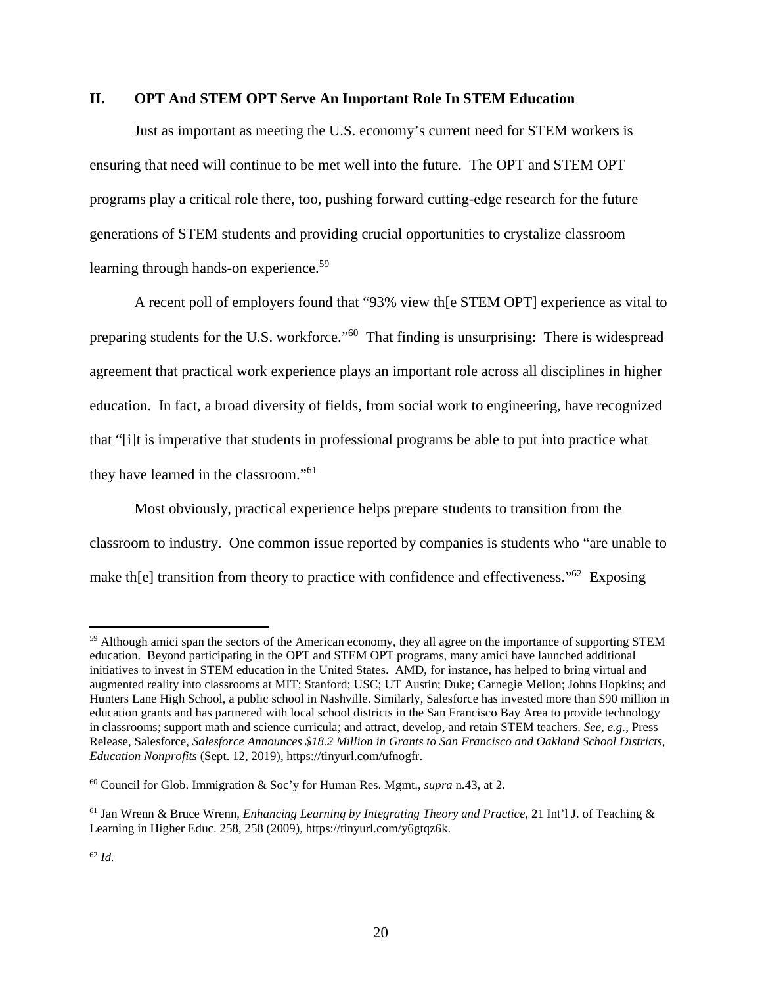#### **II. OPT And STEM OPT Serve An Important Role In STEM Education**

Just as important as meeting the U.S. economy's current need for STEM workers is ensuring that need will continue to be met well into the future. The OPT and STEM OPT programs play a critical role there, too, pushing forward cutting-edge research for the future generations of STEM students and providing crucial opportunities to crystalize classroom learning through hands-on experience.<sup>59</sup>

A recent poll of employers found that "93% view th[e STEM OPT] experience as vital to preparing students for the U.S. workforce."<sup>60</sup> That finding is unsurprising: There is widespread agreement that practical work experience plays an important role across all disciplines in higher education. In fact, a broad diversity of fields, from social work to engineering, have recognized that "[i]t is imperative that students in professional programs be able to put into practice what they have learned in the classroom."<sup>61</sup>

Most obviously, practical experience helps prepare students to transition from the classroom to industry. One common issue reported by companies is students who "are unable to make the ransition from theory to practice with confidence and effectiveness."<sup>62</sup> Exposing

<sup>&</sup>lt;sup>59</sup> Although amici span the sectors of the American economy, they all agree on the importance of supporting STEM education. Beyond participating in the OPT and STEM OPT programs, many amici have launched additional initiatives to invest in STEM education in the United States. AMD, for instance, has helped to bring virtual and augmented reality into classrooms at MIT; Stanford; USC; UT Austin; Duke; Carnegie Mellon; Johns Hopkins; and Hunters Lane High School, a public school in Nashville. Similarly, Salesforce has invested more than \$90 million in education grants and has partnered with local school districts in the San Francisco Bay Area to provide technology in classrooms; support math and science curricula; and attract, develop, and retain STEM teachers. *See, e.g.*, Press Release, Salesforce, *Salesforce Announces \$18.2 Million in Grants to San Francisco and Oakland School Districts, Education Nonprofits* (Sept. 12, 2019), https://tinyurl.com/ufnogfr.

<sup>60</sup> Council for Glob. Immigration & Soc'y for Human Res. Mgmt., *supra* n.43, at 2.

<sup>61</sup> Jan Wrenn & Bruce Wrenn, *Enhancing Learning by Integrating Theory and Practice*, 21 Int'l J. of Teaching & Learning in Higher Educ. 258, 258 (2009), https://tinyurl.com/y6gtqz6k.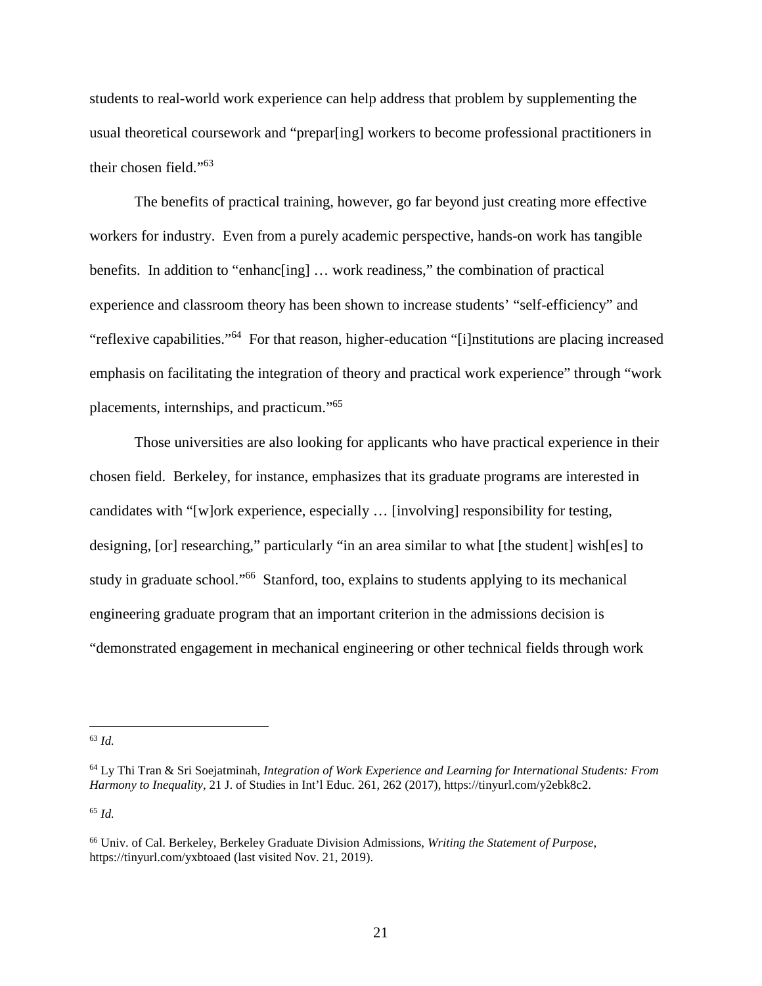students to real-world work experience can help address that problem by supplementing the usual theoretical coursework and "prepar[ing] workers to become professional practitioners in their chosen field."<sup>63</sup>

The benefits of practical training, however, go far beyond just creating more effective workers for industry. Even from a purely academic perspective, hands-on work has tangible benefits. In addition to "enhanc[ing] … work readiness," the combination of practical experience and classroom theory has been shown to increase students' "self-efficiency" and "reflexive capabilities."<sup>64</sup> For that reason, higher-education "[i]nstitutions are placing increased emphasis on facilitating the integration of theory and practical work experience" through "work placements, internships, and practicum."<sup>65</sup>

Those universities are also looking for applicants who have practical experience in their chosen field. Berkeley, for instance, emphasizes that its graduate programs are interested in candidates with "[w]ork experience, especially … [involving] responsibility for testing, designing, [or] researching," particularly "in an area similar to what [the student] wish[es] to study in graduate school."<sup>66</sup> Stanford, too, explains to students applying to its mechanical engineering graduate program that an important criterion in the admissions decision is "demonstrated engagement in mechanical engineering or other technical fields through work

<sup>65</sup> *Id.*

<sup>63</sup> *Id.*

<sup>64</sup> Ly Thi Tran & Sri Soejatminah, *Integration of Work Experience and Learning for International Students: From Harmony to Inequality*, 21 J. of Studies in Int'l Educ. 261, 262 (2017), https://tinyurl.com/y2ebk8c2.

<sup>66</sup> Univ. of Cal. Berkeley, Berkeley Graduate Division Admissions, *Writing the Statement of Purpose*, https://tinyurl.com/yxbtoaed (last visited Nov. 21, 2019).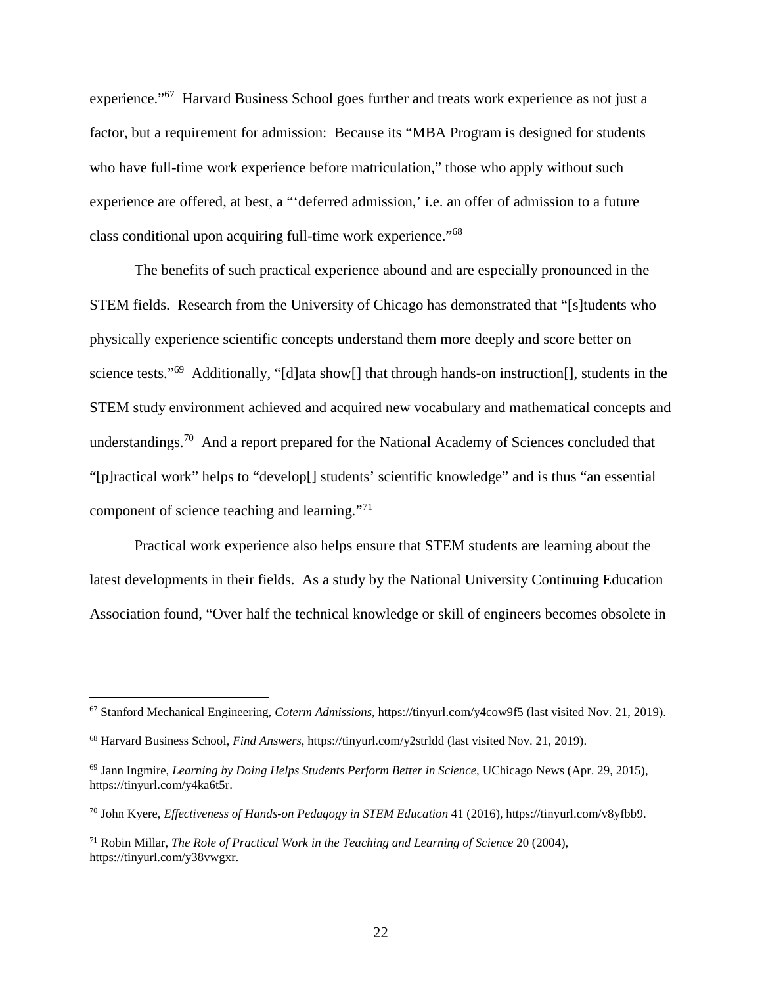experience."<sup>67</sup> Harvard Business School goes further and treats work experience as not just a factor, but a requirement for admission: Because its "MBA Program is designed for students who have full-time work experience before matriculation," those who apply without such experience are offered, at best, a "'deferred admission,' i.e. an offer of admission to a future class conditional upon acquiring full-time work experience."<sup>68</sup>

The benefits of such practical experience abound and are especially pronounced in the STEM fields. Research from the University of Chicago has demonstrated that "[s]tudents who physically experience scientific concepts understand them more deeply and score better on science tests."<sup>69</sup> Additionally, "[d]ata show<sup>[]</sup> that through hands-on instruction<sup>[]</sup>, students in the STEM study environment achieved and acquired new vocabulary and mathematical concepts and understandings.<sup>70</sup> And a report prepared for the National Academy of Sciences concluded that "[p]ractical work" helps to "develop[] students' scientific knowledge" and is thus "an essential component of science teaching and learning."<sup>71</sup>

Practical work experience also helps ensure that STEM students are learning about the latest developments in their fields. As a study by the National University Continuing Education Association found, "Over half the technical knowledge or skill of engineers becomes obsolete in

<sup>67</sup> Stanford Mechanical Engineering, *Coterm Admissions*, https://tinyurl.com/y4cow9f5 (last visited Nov. 21, 2019).

<sup>68</sup> Harvard Business School, *Find Answers*, https://tinyurl.com/y2strldd (last visited Nov. 21, 2019).

<sup>69</sup> Jann Ingmire, *Learning by Doing Helps Students Perform Better in Science*, UChicago News (Apr. 29, 2015), https://tinyurl.com/y4ka6t5r.

<sup>70</sup> John Kyere, *Effectiveness of Hands-on Pedagogy in STEM Education* 41 (2016), https://tinyurl.com/v8yfbb9.

<sup>71</sup> Robin Millar, *The Role of Practical Work in the Teaching and Learning of Science* 20 (2004), https://tinyurl.com/y38vwgxr.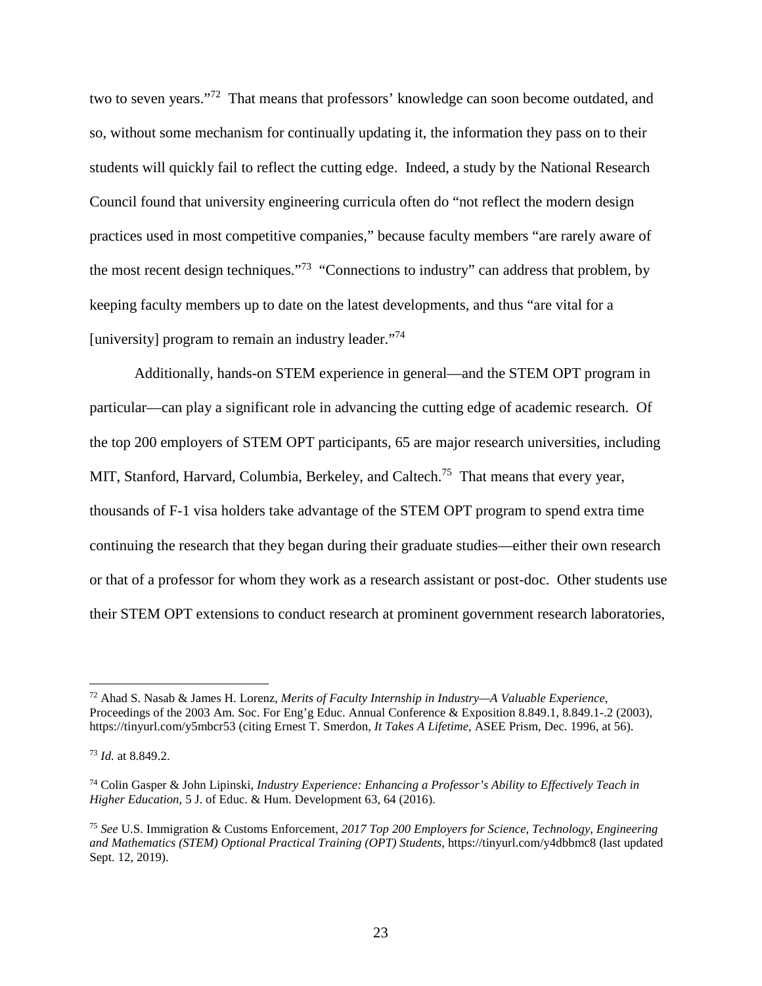two to seven years."<sup>72</sup> That means that professors' knowledge can soon become outdated, and so, without some mechanism for continually updating it, the information they pass on to their students will quickly fail to reflect the cutting edge. Indeed, a study by the National Research Council found that university engineering curricula often do "not reflect the modern design practices used in most competitive companies," because faculty members "are rarely aware of the most recent design techniques."<sup>73</sup> "Connections to industry" can address that problem, by keeping faculty members up to date on the latest developments, and thus "are vital for a [university] program to remain an industry leader. $\frac{1}{74}$ ]

Additionally, hands-on STEM experience in general—and the STEM OPT program in particular—can play a significant role in advancing the cutting edge of academic research. Of the top 200 employers of STEM OPT participants, 65 are major research universities, including MIT, Stanford, Harvard, Columbia, Berkeley, and Caltech.<sup>75</sup> That means that every year, thousands of F-1 visa holders take advantage of the STEM OPT program to spend extra time continuing the research that they began during their graduate studies—either their own research or that of a professor for whom they work as a research assistant or post-doc. Other students use their STEM OPT extensions to conduct research at prominent government research laboratories,

<sup>72</sup> Ahad S. Nasab & James H. Lorenz, *Merits of Faculty Internship in Industry—A Valuable Experience*, Proceedings of the 2003 Am. Soc. For Eng'g Educ. Annual Conference & Exposition 8.849.1, 8.849.1-.2 (2003), https://tinyurl.com/y5mbcr53 (citing Ernest T. Smerdon, *It Takes A Lifetime*, ASEE Prism, Dec. 1996, at 56).

<sup>73</sup> *Id.* at 8.849.2.

<sup>74</sup> Colin Gasper & John Lipinski, *Industry Experience: Enhancing a Professor's Ability to Effectively Teach in Higher Education*, 5 J. of Educ. & Hum. Development 63, 64 (2016).

<sup>75</sup> *See* U.S. Immigration & Customs Enforcement, *2017 Top 200 Employers for Science, Technology, Engineering and Mathematics (STEM) Optional Practical Training (OPT) Students*, https://tinyurl.com/y4dbbmc8 (last updated Sept. 12, 2019).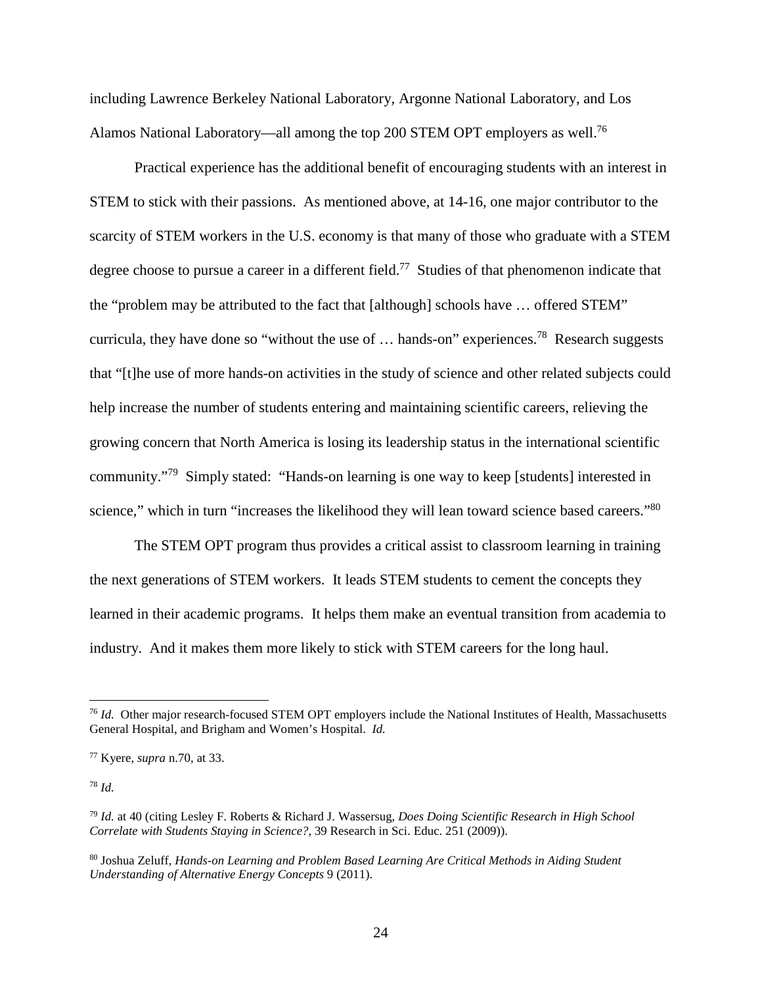including Lawrence Berkeley National Laboratory, Argonne National Laboratory, and Los Alamos National Laboratory—all among the top 200 STEM OPT employers as well.<sup>76</sup>

Practical experience has the additional benefit of encouraging students with an interest in STEM to stick with their passions. As mentioned above, at 14-16, one major contributor to the scarcity of STEM workers in the U.S. economy is that many of those who graduate with a STEM degree choose to pursue a career in a different field.<sup>77</sup> Studies of that phenomenon indicate that the "problem may be attributed to the fact that [although] schools have … offered STEM" curricula, they have done so "without the use of ... hands-on" experiences.<sup>78</sup> Research suggests that "[t]he use of more hands-on activities in the study of science and other related subjects could help increase the number of students entering and maintaining scientific careers, relieving the growing concern that North America is losing its leadership status in the international scientific community."<sup>79</sup> Simply stated: "Hands-on learning is one way to keep [students] interested in science," which in turn "increases the likelihood they will lean toward science based careers."<sup>80</sup>

The STEM OPT program thus provides a critical assist to classroom learning in training the next generations of STEM workers. It leads STEM students to cement the concepts they learned in their academic programs. It helps them make an eventual transition from academia to industry. And it makes them more likely to stick with STEM careers for the long haul.

<sup>78</sup> *Id.*

<sup>&</sup>lt;sup>76</sup> *Id.* Other major research-focused STEM OPT employers include the National Institutes of Health, Massachusetts General Hospital, and Brigham and Women's Hospital. *Id.*

<sup>77</sup> Kyere, *supra* n.70, at 33.

<sup>79</sup> *Id.* at 40 (citing Lesley F. Roberts & Richard J. Wassersug, *Does Doing Scientific Research in High School Correlate with Students Staying in Science?*, 39 Research in Sci. Educ. 251 (2009)).

<sup>80</sup> Joshua Zeluff, *Hands-on Learning and Problem Based Learning Are Critical Methods in Aiding Student Understanding of Alternative Energy Concepts* 9 (2011).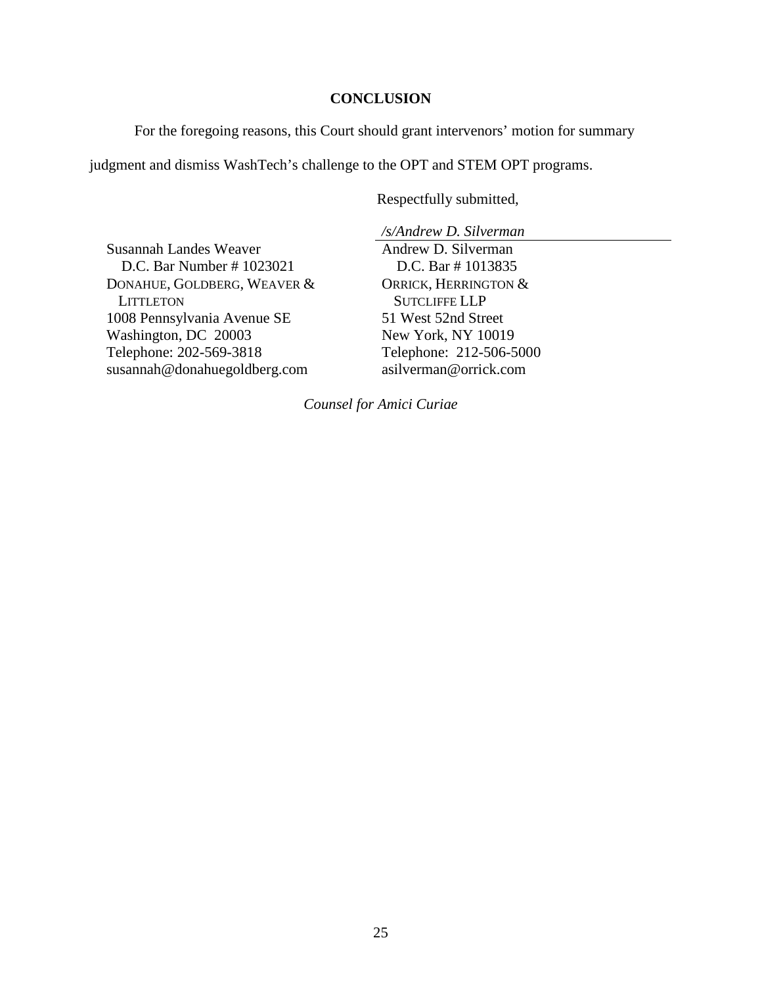### **CONCLUSION**

For the foregoing reasons, this Court should grant intervenors' motion for summary

judgment and dismiss WashTech's challenge to the OPT and STEM OPT programs.

Respectfully submitted,

*/s/Andrew D. Silverman*

Susannah Landes Weaver D.C. Bar Number # 1023021 DONAHUE, GOLDBERG, WEAVER & **LITTLETON** 1008 Pennsylvania Avenue SE Washington, DC 20003 Telephone: 202-569-3818 susannah@donahuegoldberg.com

Andrew D. Silverman D.C. Bar # 1013835 ORRICK, HERRINGTON & SUTCLIFFE LLP 51 West 52nd Street New York, NY 10019 Telephone: 212-506-5000 asilverman@orrick.com

*Counsel for Amici Curiae*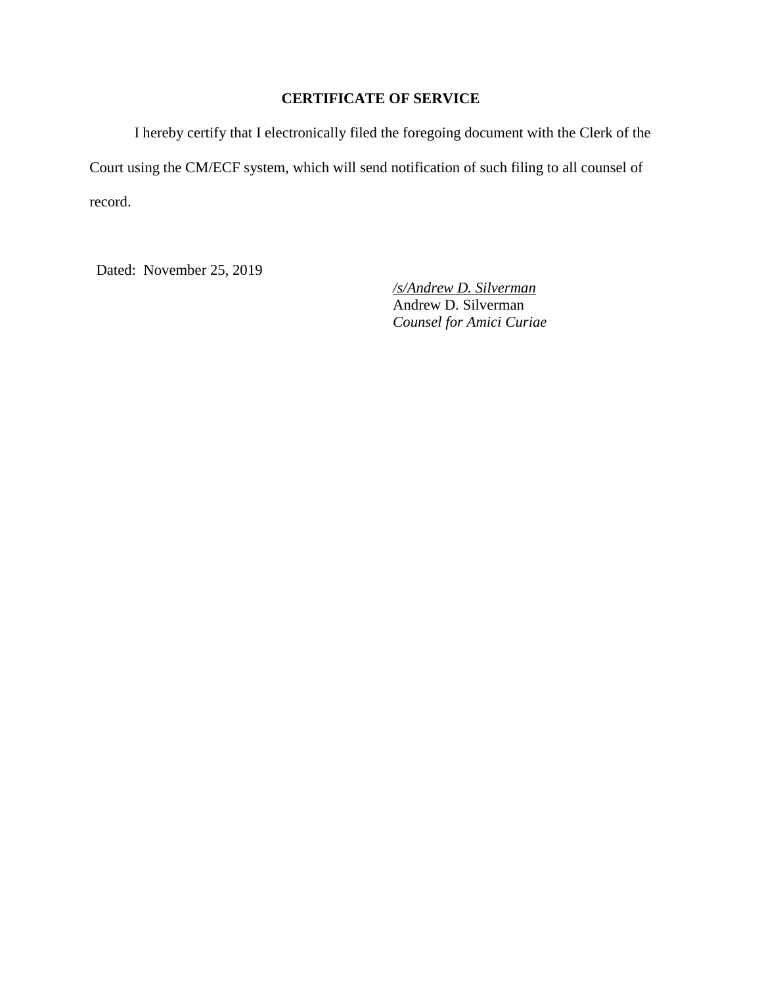## **CERTIFICATE OF SERVICE**

I hereby certify that I electronically filed the foregoing document with the Clerk of the Court using the CM/ECF system, which will send notification of such filing to all counsel of record.

Dated: November 25, 2019

*/s/Andrew D. Silverman* Andrew D. Silverman *Counsel for Amici Curiae*